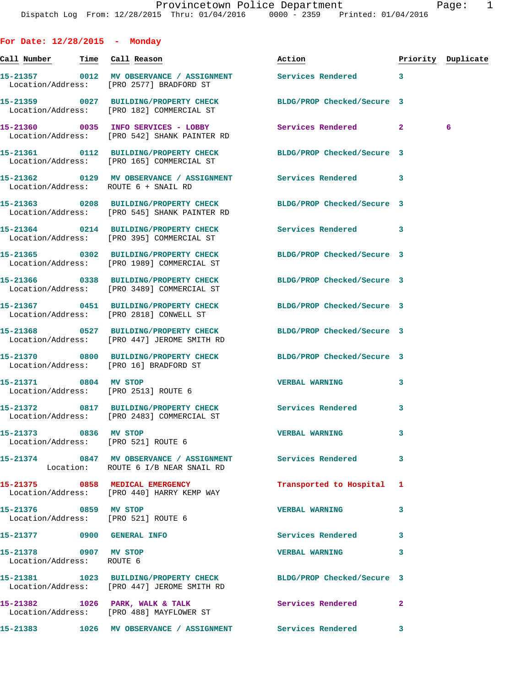**For Date: 12/28/2015 - Monday Call Number Time Call Reason Action Priority Duplicate 15-21357 0012 MV OBSERVANCE / ASSIGNMENT Services Rendered 3**  Location/Address: [PRO 2577] BRADFORD ST **15-21359 0027 BUILDING/PROPERTY CHECK BLDG/PROP Checked/Secure 3**  Location/Address: [PRO 182] COMMERCIAL ST **15-21360 0035 INFO SERVICES - LOBBY Services Rendered 2 6**  Location/Address: [PRO 542] SHANK PAINTER RD **15-21361 0112 BUILDING/PROPERTY CHECK BLDG/PROP Checked/Secure 3**  Location/Address: [PRO 165] COMMERCIAL ST **15-21362 0129 MV OBSERVANCE / ASSIGNMENT Services Rendered 3**  Location/Address: ROUTE 6 + SNAIL RD **15-21363 0208 BUILDING/PROPERTY CHECK BLDG/PROP Checked/Secure 3**  Location/Address: [PRO 545] SHANK PAINTER RD **15-21364 0214 BUILDING/PROPERTY CHECK Services Rendered 3**  Location/Address: [PRO 395] COMMERCIAL ST **15-21365 0302 BUILDING/PROPERTY CHECK BLDG/PROP Checked/Secure 3**  Location/Address: [PRO 1989] COMMERCIAL ST **15-21366 0338 BUILDING/PROPERTY CHECK BLDG/PROP Checked/Secure 3**  Location/Address: [PRO 3489] COMMERCIAL ST **15-21367 0451 BUILDING/PROPERTY CHECK BLDG/PROP Checked/Secure 3**  Location/Address: [PRO 2818] CONWELL ST **15-21368 0527 BUILDING/PROPERTY CHECK BLDG/PROP Checked/Secure 3**  Location/Address: [PRO 447] JEROME SMITH RD **15-21370 0800 BUILDING/PROPERTY CHECK BLDG/PROP Checked/Secure 3**  Location/Address: [PRO 16] BRADFORD ST **15-21371 0804 MV STOP VERBAL WARNING 3**  Location/Address: [PRO 2513] ROUTE 6 **15-21372 0817 BUILDING/PROPERTY CHECK Services Rendered 3**  Location/Address: [PRO 2483] COMMERCIAL ST **15-21373 0836 MV STOP VERBAL WARNING 3**  Location/Address: [PRO 521] ROUTE 6 **15-21374 0847 MV OBSERVANCE / ASSIGNMENT Services Rendered 3**  Location: ROUTE 6 I/B NEAR SNAIL RD **15-21375 0858 MEDICAL EMERGENCY Transported to Hospital 1**  Location/Address: [PRO 440] HARRY KEMP WAY **15-21376 0859 MV STOP VERBAL WARNING 3**  Location/Address: [PRO 521] ROUTE 6 **15-21377 0900 GENERAL INFO Services Rendered 3 15-21378 0907 MV STOP VERBAL WARNING 3**  Location/Address: ROUTE 6 **15-21381 1023 BUILDING/PROPERTY CHECK BLDG/PROP Checked/Secure 3**  Location/Address: [PRO 447] JEROME SMITH RD 15-21382 1026 PARK, WALK & TALK **Services Rendered** 2 Location/Address: [PRO 488] MAYFLOWER ST **15-21383 1026 MV OBSERVANCE / ASSIGNMENT Services Rendered 3**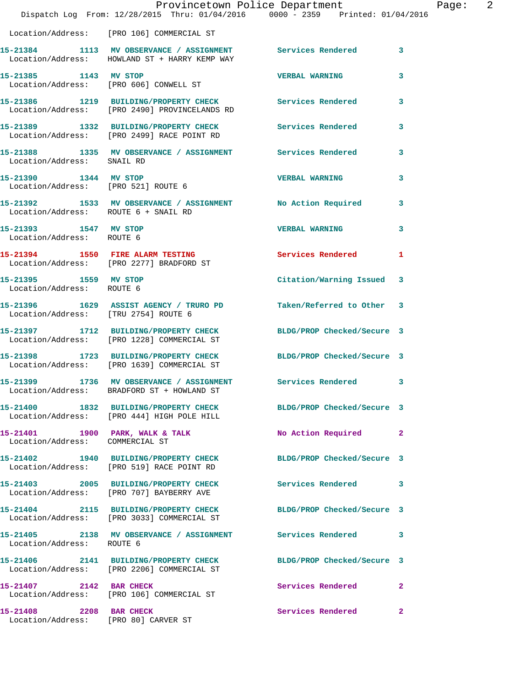|                                                                 |                                                                                                             | Provincetown Police Department |              |
|-----------------------------------------------------------------|-------------------------------------------------------------------------------------------------------------|--------------------------------|--------------|
|                                                                 | Dispatch Log From: 12/28/2015 Thru: 01/04/2016 0000 - 2359 Printed: 01/04/2016                              |                                |              |
|                                                                 | Location/Address: [PRO 106] COMMERCIAL ST                                                                   |                                |              |
|                                                                 | 15-21384 1113 MV OBSERVANCE / ASSIGNMENT Services Rendered<br>Location/Address: HOWLAND ST + HARRY KEMP WAY |                                | 3            |
| 15-21385 1143 MV STOP                                           | Location/Address: [PRO 606] CONWELL ST                                                                      | <b>VERBAL WARNING</b>          | 3            |
|                                                                 | 15-21386 1219 BUILDING/PROPERTY CHECK Services Rendered<br>Location/Address: [PRO 2490] PROVINCELANDS RD    |                                | 3            |
|                                                                 | 15-21389 1332 BUILDING/PROPERTY CHECK<br>Location/Address: [PRO 2499] RACE POINT RD                         | <b>Services Rendered</b>       | 3            |
| Location/Address: SNAIL RD                                      | 15-21388 1335 MV OBSERVANCE / ASSIGNMENT Services Rendered                                                  |                                | 3            |
| 15-21390 1344 MV STOP<br>Location/Address: [PRO 521] ROUTE 6    |                                                                                                             | <b>VERBAL WARNING</b>          | 3            |
| Location/Address: ROUTE 6 + SNAIL RD                            | 15-21392 1533 MV OBSERVANCE / ASSIGNMENT No Action Required                                                 |                                | 3            |
| 15-21393 1547 MV STOP<br>Location/Address: ROUTE 6              |                                                                                                             | <b>VERBAL WARNING</b>          | 3            |
|                                                                 | 15-21394 1550 FIRE ALARM TESTING<br>Location/Address: [PRO 2277] BRADFORD ST                                | Services Rendered              | 1            |
| 15-21395 1559 MV STOP<br>Location/Address: ROUTE 6              |                                                                                                             | Citation/Warning Issued        | 3            |
| Location/Address: [TRU 2754] ROUTE 6                            | 15-21396 1629 ASSIST AGENCY / TRURO PD                                                                      | Taken/Referred to Other        | 3            |
|                                                                 | 15-21397 1712 BUILDING/PROPERTY CHECK<br>Location/Address: [PRO 1228] COMMERCIAL ST                         | BLDG/PROP Checked/Secure 3     |              |
|                                                                 | 15-21398 1723 BUILDING/PROPERTY CHECK<br>Location/Address: [PRO 1639] COMMERCIAL ST                         | BLDG/PROP Checked/Secure 3     |              |
|                                                                 | 15-21399 1736 MV OBSERVANCE / ASSIGNMENT Services Rendered 3<br>Location/Address: BRADFORD ST + HOWLAND ST  |                                |              |
|                                                                 | 15-21400 1832 BUILDING/PROPERTY CHECK<br>Location/Address: [PRO 444] HIGH POLE HILL                         | BLDG/PROP Checked/Secure 3     |              |
| Location/Address: COMMERCIAL ST                                 | 15-21401 1900 PARK, WALK & TALK                                                                             | No Action Required             | 2            |
|                                                                 | 15-21402 1940 BUILDING/PROPERTY CHECK<br>Location/Address: [PRO 519] RACE POINT RD                          | BLDG/PROP Checked/Secure 3     |              |
|                                                                 | 15-21403 2005 BUILDING/PROPERTY CHECK<br>Location/Address: [PRO 707] BAYBERRY AVE                           | Services Rendered              | 3            |
|                                                                 | 15-21404 2115 BUILDING/PROPERTY CHECK<br>Location/Address: [PRO 3033] COMMERCIAL ST                         | BLDG/PROP Checked/Secure 3     |              |
| Location/Address: ROUTE 6                                       | 15-21405 2138 MV OBSERVANCE / ASSIGNMENT Services Rendered                                                  |                                | 3            |
|                                                                 | 15-21406 2141 BUILDING/PROPERTY CHECK<br>Location/Address: [PRO 2206] COMMERCIAL ST                         | BLDG/PROP Checked/Secure 3     |              |
| 15-21407 2142 BAR CHECK                                         | Location/Address: [PRO 106] COMMERCIAL ST                                                                   | Services Rendered              | $\mathbf{2}$ |
| 15-21408 2208 BAR CHECK<br>Location/Address: [PRO 80] CARVER ST |                                                                                                             | Services Rendered              | 2            |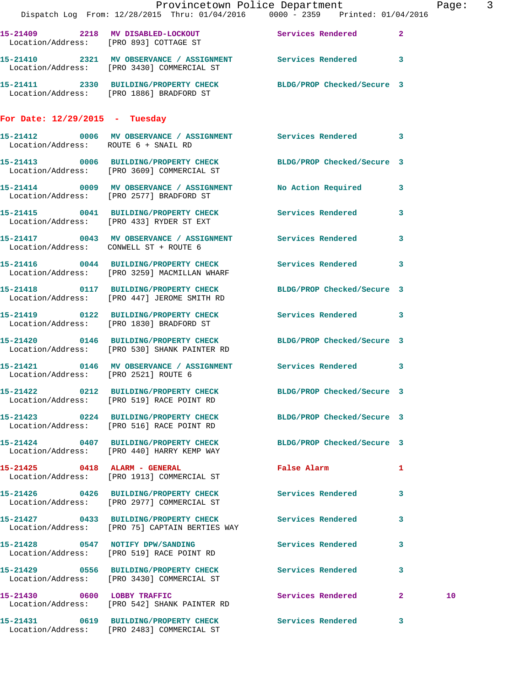|                                      | Dispatch Log From: 12/28/2015 Thru: 01/04/2016 0000 - 2359 Printed: 01/04/2016                                   | Provincetown Police Department |   | Page: 3 |  |
|--------------------------------------|------------------------------------------------------------------------------------------------------------------|--------------------------------|---|---------|--|
|                                      | 15-21409 2218 MV DISABLED-LOCKOUT Services Rendered 2<br>Location/Address: [PRO 893] COTTAGE ST                  |                                |   |         |  |
|                                      | 15-21410 2321 MV OBSERVANCE / ASSIGNMENT Services Rendered 3<br>Location/Address: [PRO 3430] COMMERCIAL ST       |                                |   |         |  |
|                                      | 15-21411 2330 BUILDING/PROPERTY CHECK BLDG/PROP Checked/Secure 3<br>Location/Address: [PRO 1886] BRADFORD ST     |                                |   |         |  |
| For Date: $12/29/2015$ - Tuesday     |                                                                                                                  |                                |   |         |  |
| Location/Address: ROUTE 6 + SNAIL RD | 15-21412 0006 MV OBSERVANCE / ASSIGNMENT Services Rendered 3                                                     |                                |   |         |  |
|                                      | 15-21413 0006 BUILDING/PROPERTY CHECK BLDG/PROP Checked/Secure 3<br>Location/Address: [PRO 3609] COMMERCIAL ST   |                                |   |         |  |
|                                      | 15-21414 0009 MV OBSERVANCE / ASSIGNMENT No Action Required 3<br>Location/Address: [PRO 2577] BRADFORD ST        |                                |   |         |  |
|                                      | 15-21415 0041 BUILDING/PROPERTY CHECK Services Rendered 3<br>Location/Address: [PRO 433] RYDER ST EXT            |                                |   |         |  |
|                                      | 15-21417 0043 MV OBSERVANCE / ASSIGNMENT Services Rendered 3<br>Location/Address: CONWELL ST + ROUTE 6           |                                |   |         |  |
|                                      | 15-21416 0044 BUILDING/PROPERTY CHECK Services Rendered 3<br>Location/Address: [PRO 3259] MACMILLAN WHARF        |                                |   |         |  |
|                                      | 15-21418 0117 BUILDING/PROPERTY CHECK BLDG/PROP Checked/Secure 3<br>Location/Address: [PRO 447] JEROME SMITH RD  |                                |   |         |  |
|                                      | 15-21419 0122 BUILDING/PROPERTY CHECK Services Rendered 3<br>Location/Address: [PRO 1830] BRADFORD ST            |                                |   |         |  |
|                                      | 15-21420 0146 BUILDING/PROPERTY CHECK BLDG/PROP Checked/Secure 3<br>Location/Address: [PRO 530] SHANK PAINTER RD |                                |   |         |  |
| Location/Address: [PRO 2521] ROUTE 6 | 15-21421 0146 MV OBSERVANCE / ASSIGNMENT Services Rendered 3                                                     |                                |   |         |  |
|                                      | 15-21422 0212 BUILDING/PROPERTY CHECK<br>Location/Address: [PRO 519] RACE POINT RD                               | BLDG/PROP Checked/Secure 3     |   |         |  |
|                                      | 15-21423 0224 BUILDING/PROPERTY CHECK BLDG/PROP Checked/Secure 3<br>Location/Address: [PRO 516] RACE POINT RD    |                                |   |         |  |
|                                      | 15-21424 0407 BUILDING/PROPERTY CHECK<br>Location/Address: [PRO 440] HARRY KEMP WAY                              | BLDG/PROP Checked/Secure 3     |   |         |  |
| 15-21425 0418 ALARM - GENERAL        | Location/Address: [PRO 1913] COMMERCIAL ST                                                                       | False Alarm                    | 1 |         |  |
|                                      | 15-21426 0426 BUILDING/PROPERTY CHECK Services Rendered<br>Location/Address: [PRO 2977] COMMERCIAL ST            |                                | 3 |         |  |
|                                      | 15-21427 0433 BUILDING/PROPERTY CHECK Services Rendered<br>Location/Address: [PRO 75] CAPTAIN BERTIES WAY        |                                | 3 |         |  |
|                                      | 15-21428 0547 NOTIFY DPW/SANDING<br>Location/Address: [PRO 519] RACE POINT RD                                    | Services Rendered              | 3 |         |  |
|                                      | 15-21429 0556 BUILDING/PROPERTY CHECK Services Rendered<br>Location/Address: [PRO 3430] COMMERCIAL ST            |                                | 3 |         |  |
| 15-21430 0600 LOBBY TRAFFIC          | Location/Address: [PRO 542] SHANK PAINTER RD                                                                     | Services Rendered 2            |   | 10      |  |
|                                      | 15-21431 0619 BUILDING/PROPERTY CHECK                                                                            | <b>Services Rendered</b>       | 3 |         |  |

Location/Address: [PRO 2483] COMMERCIAL ST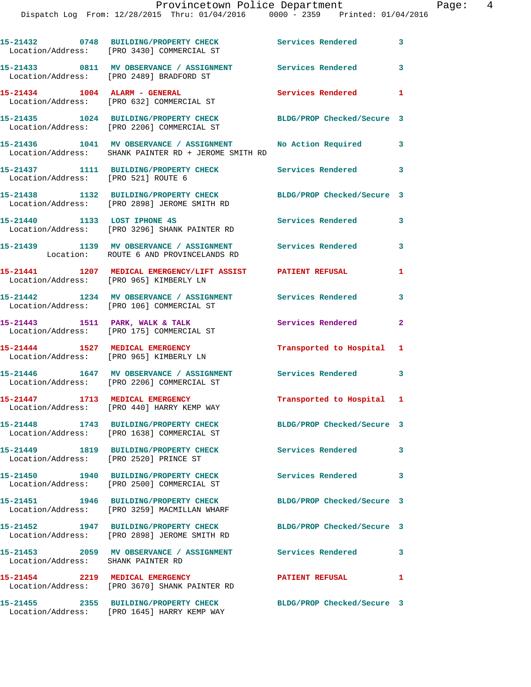|                                        | 15-21432 0748 BUILDING/PROPERTY CHECK Services Rendered<br>Location/Address: [PRO 3430] COMMERCIAL ST    |                            | 3                       |
|----------------------------------------|----------------------------------------------------------------------------------------------------------|----------------------------|-------------------------|
|                                        | 15-21433 0811 MV OBSERVANCE / ASSIGNMENT Services Rendered<br>Location/Address: [PRO 2489] BRADFORD ST   |                            | 3                       |
|                                        | 15-21434    1004    ALARM - GENERAL<br>Location/Address: [PRO 632] COMMERCIAL ST                         | Services Rendered          | 1                       |
|                                        | 15-21435 1024 BUILDING/PROPERTY CHECK<br>Location/Address: [PRO 2206] COMMERCIAL ST                      | BLDG/PROP Checked/Secure 3 |                         |
|                                        | 15-21436 1041 MV OBSERVANCE / ASSIGNMENT<br>Location/Address: SHANK PAINTER RD + JEROME SMITH RD         | No Action Required 3       |                         |
| Location/Address: [PRO 521] ROUTE 6    | 15-21437 1111 BUILDING/PROPERTY CHECK                                                                    | <b>Services Rendered</b>   | $\overline{\mathbf{3}}$ |
|                                        | 15-21438 1132 BUILDING/PROPERTY CHECK<br>Location/Address: [PRO 2898] JEROME SMITH RD                    | BLDG/PROP Checked/Secure 3 |                         |
|                                        | 15-21440 1133 LOST IPHONE 4S<br>Location/Address: [PRO 3296] SHANK PAINTER RD                            | <b>Services Rendered</b>   | $\mathbf{3}$            |
|                                        | 15-21439 1139 MV OBSERVANCE / ASSIGNMENT Services Rendered<br>Location: ROUTE 6 AND PROVINCELANDS RD     |                            | 3                       |
|                                        | 15-21441 1207 MEDICAL EMERGENCY/LIFT ASSIST PATIENT REFUSAL<br>Location/Address: [PRO 965] KIMBERLY LN   |                            | 1                       |
|                                        | 15-21442 1234 MV OBSERVANCE / ASSIGNMENT Services Rendered<br>Location/Address: [PRO 106] COMMERCIAL ST  |                            | 3                       |
|                                        | 15-21443 1511 PARK, WALK & TALK<br>Location/Address: [PRO 175] COMMERCIAL ST                             | Services Rendered          | $\overline{2}$          |
|                                        | 15-21444 1527 MEDICAL EMERGENCY<br>Location/Address: [PRO 965] KIMBERLY LN                               | Transported to Hospital 1  |                         |
|                                        | 15-21446 1647 MV OBSERVANCE / ASSIGNMENT Services Rendered<br>Location/Address: [PRO 2206] COMMERCIAL ST |                            | $\overline{\mathbf{3}}$ |
|                                        | 15-21447 1713 MEDICAL EMERGENCY<br>Location/Address: [PRO 440] HARRY KEMP WAY                            | Transported to Hospital 1  |                         |
|                                        | 15-21448 1743 BUILDING/PROPERTY CHECK<br>Location/Address: [PRO 1638] COMMERCIAL ST                      | BLDG/PROP Checked/Secure 3 |                         |
| Location/Address: [PRO 2520] PRINCE ST | 15-21449 1819 BUILDING/PROPERTY CHECK                                                                    | <b>Services Rendered</b>   | 3                       |
|                                        | 15-21450 1940 BUILDING/PROPERTY CHECK<br>Location/Address: [PRO 2500] COMMERCIAL ST                      | Services Rendered          | 3                       |
|                                        | 15-21451 1946 BUILDING/PROPERTY CHECK<br>Location/Address: [PRO 3259] MACMILLAN WHARF                    | BLDG/PROP Checked/Secure 3 |                         |
|                                        | 15-21452 1947 BUILDING/PROPERTY CHECK<br>Location/Address: [PRO 2898] JEROME SMITH RD                    | BLDG/PROP Checked/Secure 3 |                         |
| Location/Address: SHANK PAINTER RD     | 15-21453 2059 MV OBSERVANCE / ASSIGNMENT Services Rendered                                               |                            | 3                       |
| 15-21454 2219 MEDICAL EMERGENCY        | Location/Address: [PRO 3670] SHANK PAINTER RD                                                            | <b>PATIENT REFUSAL</b>     | 1                       |
|                                        | 15-21455 2355 BUILDING/PROPERTY CHECK<br>Location/Address: [PRO 1645] HARRY KEMP WAY                     | BLDG/PROP Checked/Secure 3 |                         |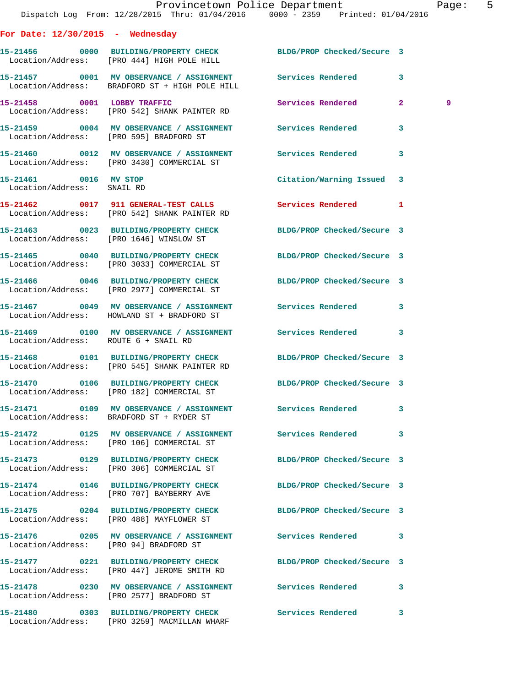|                                                     | Dispatch Log From: 12/28/2015 Thru: 01/04/2016  0000 - 2359  Printed: 01/04/2016                                      | Provincetown Police Department | Page: 5      |  |
|-----------------------------------------------------|-----------------------------------------------------------------------------------------------------------------------|--------------------------------|--------------|--|
| For Date: $12/30/2015$ - Wednesday                  |                                                                                                                       |                                |              |  |
|                                                     | 15-21456 0000 BUILDING/PROPERTY CHECK BLDG/PROP Checked/Secure 3<br>Location/Address: [PRO 444] HIGH POLE HILL        |                                |              |  |
|                                                     | 15-21457 0001 MV OBSERVANCE / ASSIGNMENT Services Rendered 3<br>Location/Address: BRADFORD ST + HIGH POLE HILL        |                                |              |  |
|                                                     | 15-21458 0001 LOBBY TRAFFIC Services Rendered 2<br>Location/Address: [PRO 542] SHANK PAINTER RD                       |                                | 9            |  |
|                                                     | 15-21459 0004 MV OBSERVANCE / ASSIGNMENT Services Rendered 3<br>Location/Address: [PRO 595] BRADFORD ST               |                                |              |  |
|                                                     | 15-21460 0012 MV OBSERVANCE / ASSIGNMENT Services Rendered 3<br>Location/Address: [PRO 3430] COMMERCIAL ST            |                                |              |  |
| 15-21461 0016 MV STOP<br>Location/Address: SNAIL RD |                                                                                                                       | Citation/Warning Issued 3      |              |  |
|                                                     | 15-21462 0017 911 GENERAL-TEST CALLS Services Rendered 1<br>Location/Address: [PRO 542] SHANK PAINTER RD              |                                |              |  |
|                                                     | 15-21463 0023 BUILDING/PROPERTY CHECK BLDG/PROP Checked/Secure 3<br>Location/Address: [PRO 1646] WINSLOW ST           |                                |              |  |
|                                                     | 15-21465 0040 BUILDING/PROPERTY CHECK BLDG/PROP Checked/Secure 3<br>Location/Address: [PRO 3033] COMMERCIAL ST        |                                |              |  |
|                                                     | 15-21466 0046 BUILDING/PROPERTY CHECK BLDG/PROP Checked/Secure 3<br>Location/Address: [PRO 2977] COMMERCIAL ST        |                                |              |  |
|                                                     | 15-21467 0049 MV OBSERVANCE / ASSIGNMENT Services Rendered 3<br>Location/Address: HOWLAND ST + BRADFORD ST            |                                |              |  |
| Location/Address: ROUTE 6 + SNAIL RD                | 15-21469 0100 MV OBSERVANCE / ASSIGNMENT Services Rendered 3                                                          |                                |              |  |
|                                                     | 15-21468 0101 BUILDING/PROPERTY CHECK BLDG/PROP Checked/Secure 3<br>Location/Address: [PRO 545] SHANK PAINTER RD      |                                |              |  |
|                                                     | 15-21470  0106 BUILDING/PROPERTY CHECK BLDG/PROP Checked/Secure 3<br>Location/Address: [PRO 182] COMMERCIAL ST        |                                |              |  |
|                                                     | 15-21471  0109 MV OBSERVANCE / ASSIGNMENT Services Rendered<br>Location/Address: BRADFORD ST + RYDER ST               |                                | $\mathbf{3}$ |  |
|                                                     | 15-21472 0125 MV OBSERVANCE / ASSIGNMENT Services Rendered 3<br>Location/Address: [PRO 106] COMMERCIAL ST             |                                |              |  |
|                                                     | 15-21473   0129   BUILDING/PROPERTY CHECK   BLDG/PROP Checked/Secure   3<br>Location/Address: [PRO 306] COMMERCIAL ST |                                |              |  |
|                                                     | 15-21474 0146 BUILDING/PROPERTY CHECK BLDG/PROP Checked/Secure 3<br>Location/Address: [PRO 707] BAYBERRY AVE          |                                |              |  |
|                                                     | 15-21475 0204 BUILDING/PROPERTY CHECK BLDG/PROP Checked/Secure 3<br>Location/Address: [PRO 488] MAYFLOWER ST          |                                |              |  |
|                                                     | 15-21476  0205 MV OBSERVANCE / ASSIGNMENT Services Rendered 3<br>Location/Address: [PRO 94] BRADFORD ST               |                                |              |  |
|                                                     | 15-21477 0221 BUILDING/PROPERTY CHECK BLDG/PROP Checked/Secure 3<br>Location/Address: [PRO 447] JEROME SMITH RD       |                                |              |  |
|                                                     | 15-21478 0230 MV OBSERVANCE / ASSIGNMENT Services Rendered 3<br>Location/Address: [PRO 2577] BRADFORD ST              |                                |              |  |
|                                                     | 15-21480 0303 BUILDING/PROPERTY CHECK Services Rendered 3<br>Location/Address: [PRO 3259] MACMILLAN WHARF             |                                |              |  |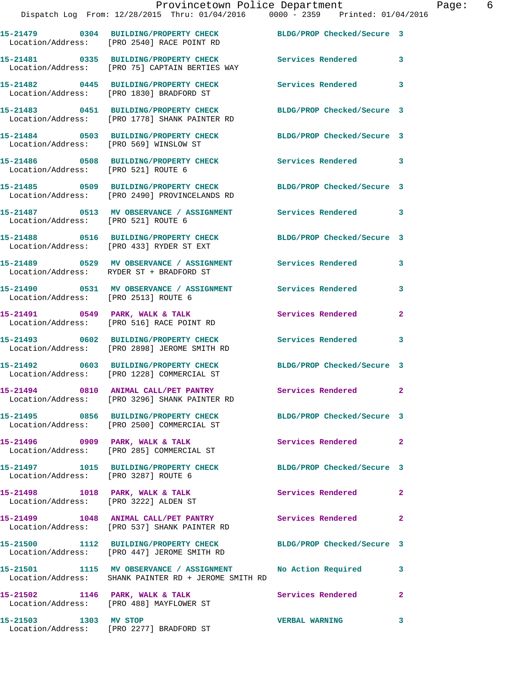|                                      | Provincetown Police Department<br>Dispatch Log From: 12/28/2015 Thru: 01/04/2016 0000 - 2359 Printed: 01/04/2016    |                            |                |
|--------------------------------------|---------------------------------------------------------------------------------------------------------------------|----------------------------|----------------|
|                                      |                                                                                                                     |                            |                |
|                                      | 15-21479 0304 BUILDING/PROPERTY CHECK BLDG/PROP Checked/Secure 3<br>Location/Address: [PRO 2540] RACE POINT RD      |                            |                |
|                                      | 15-21481 0335 BUILDING/PROPERTY CHECK Services Rendered<br>Location/Address: [PRO 75] CAPTAIN BERTIES WAY           |                            | 3              |
|                                      | 15-21482 0445 BUILDING/PROPERTY CHECK Services Rendered<br>Location/Address: [PRO 1830] BRADFORD ST                 |                            | 3              |
|                                      | 15-21483 0451 BUILDING/PROPERTY CHECK BLDG/PROP Checked/Secure 3<br>Location/Address: [PRO 1778] SHANK PAINTER RD   |                            |                |
|                                      | 15-21484   0503 BUILDING/PROPERTY CHECK BLDG/PROP Checked/Secure 3<br>Location/Address: [PRO 569] WINSLOW ST        |                            |                |
|                                      | 15-21486 0508 BUILDING/PROPERTY CHECK Services Rendered<br>Location/Address: [PRO 521] ROUTE 6                      |                            | 3              |
|                                      |                                                                                                                     | BLDG/PROP Checked/Secure 3 |                |
| Location/Address: [PRO 521] ROUTE 6  | 15-21487 0513 MV OBSERVANCE / ASSIGNMENT Services Rendered                                                          |                            | 3              |
|                                      | 15-21488 0516 BUILDING/PROPERTY CHECK BLDG/PROP Checked/Secure 3<br>Location/Address: [PRO 433] RYDER ST EXT        |                            |                |
|                                      | 15-21489 0529 MV OBSERVANCE / ASSIGNMENT Services Rendered<br>Location/Address: RYDER ST + BRADFORD ST              |                            | 3              |
| Location/Address: [PRO 2513] ROUTE 6 | 15-21490 0531 MV OBSERVANCE / ASSIGNMENT Services Rendered                                                          |                            | 3              |
|                                      | 15-21491 0549 PARK, WALK & TALK<br>Location/Address: [PRO 516] RACE POINT RD                                        | Services Rendered          | $\overline{2}$ |
|                                      | 15-21493 0602 BUILDING/PROPERTY CHECK Services Rendered<br>Location/Address: [PRO 2898] JEROME SMITH RD             |                            | 3              |
|                                      | 15-21492 0603 BUILDING/PROPERTY CHECK BLDG/PROP Checked/Secure 3<br>Location/Address: [PRO 1228] COMMERCIAL ST      |                            |                |
|                                      | 15-21494 0810 ANIMAL CALL/PET PANTRY<br>Location/Address: [PRO 3296] SHANK PAINTER RD                               | Services Rendered 2        |                |
|                                      | 15-21495 0856 BUILDING/PROPERTY CHECK BLDG/PROP Checked/Secure 3<br>Location/Address: [PRO 2500] COMMERCIAL ST      |                            |                |
|                                      |                                                                                                                     | Services Rendered          | 2              |
| Location/Address: [PRO 3287] ROUTE 6 | 15-21497 1015 BUILDING/PROPERTY CHECK BLDG/PROP Checked/Secure 3                                                    |                            |                |
| 15-21498 1018 PARK, WALK & TALK      | Location/Address: [PRO 3222] ALDEN ST                                                                               | Services Rendered          | $\mathbf{2}$   |
|                                      | 15-21499 1048 ANIMAL CALL/PET PANTRY Services Rendered<br>Location/Address: [PRO 537] SHANK PAINTER RD              |                            | $\mathbf{2}$   |
|                                      | 15-21500 1112 BUILDING/PROPERTY CHECK BLDG/PROP Checked/Secure 3<br>Location/Address: [PRO 447] JEROME SMITH RD     |                            |                |
|                                      | 15-21501 1115 MV OBSERVANCE / ASSIGNMENT No Action Required<br>Location/Address: SHANK PAINTER RD + JEROME SMITH RD |                            | 3              |
|                                      | 15-21502 1146 PARK, WALK & TALK<br>Location/Address: [PRO 488] MAYFLOWER ST                                         | Services Rendered          | $\mathbf{2}$   |

**15-21503 1303 MV STOP VERBAL WARNING 3** 

Location/Address: [PRO 2277] BRADFORD ST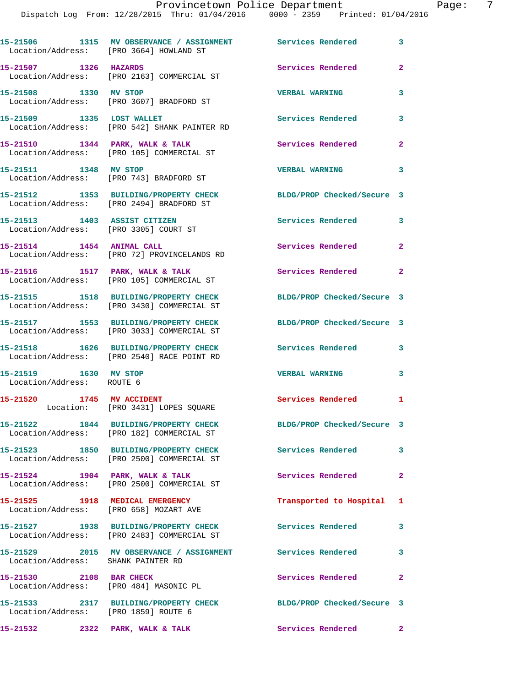Dispatch Log From: 12/28/2015 Thru: 01/04/2016 0000 - 2359 Printed: 01/04/2016

|                                                    | 15-21506 1315 MV OBSERVANCE / ASSIGNMENT Services Rendered 3<br>Location/Address: [PRO 3664] HOWLAND ST |                                                        |                         |
|----------------------------------------------------|---------------------------------------------------------------------------------------------------------|--------------------------------------------------------|-------------------------|
|                                                    | 15-21507 1326 HAZARDS<br>Location/Address: [PRO 2163] COMMERCIAL ST                                     | Services Rendered                                      | $\overline{2}$          |
| 15-21508 1330 MV STOP                              | Location/Address: [PRO 3607] BRADFORD ST                                                                | <b>VERBAL WARNING</b>                                  | 3                       |
| 15-21509 1335 LOST WALLET                          | Location/Address: [PRO 542] SHANK PAINTER RD                                                            | <b>Services Rendered</b>                               | 3                       |
|                                                    | 15-21510 1344 PARK, WALK & TALK<br>Location/Address: [PRO 105] COMMERCIAL ST                            | Services Rendered 2                                    |                         |
| 15-21511 1348 MV STOP                              | Location/Address: [PRO 743] BRADFORD ST                                                                 | <b>VERBAL WARNING</b>                                  | $\overline{\mathbf{3}}$ |
|                                                    | 15-21512 1353 BUILDING/PROPERTY CHECK<br>Location/Address: [PRO 2494] BRADFORD ST                       | BLDG/PROP Checked/Secure 3                             |                         |
| 15-21513 1403 ASSIST CITIZEN                       | Location/Address: [PRO 3305] COURT ST                                                                   | <b>Services Rendered</b>                               | 3                       |
| 15-21514 1454 ANIMAL CALL                          | Location/Address: [PRO 72] PROVINCELANDS RD                                                             | Services Rendered                                      | $\overline{2}$          |
|                                                    | 15-21516 1517 PARK, WALK & TALK<br>Location/Address: [PRO 105] COMMERCIAL ST                            | <b>Services Rendered</b><br>$\overline{\phantom{0}}$ 2 |                         |
|                                                    | 15-21515 1518 BUILDING/PROPERTY CHECK<br>Location/Address: [PRO 3430] COMMERCIAL ST                     | BLDG/PROP Checked/Secure 3                             |                         |
|                                                    | 15-21517 1553 BUILDING/PROPERTY CHECK<br>Location/Address: [PRO 3033] COMMERCIAL ST                     | BLDG/PROP Checked/Secure 3                             |                         |
|                                                    | 15-21518 1626 BUILDING/PROPERTY CHECK<br>Location/Address: [PRO 2540] RACE POINT RD                     | Services Rendered 3                                    |                         |
| 15-21519 1630 MV STOP<br>Location/Address: ROUTE 6 |                                                                                                         | <b>VERBAL WARNING</b>                                  | $\overline{\mathbf{3}}$ |
|                                                    | 15-21520 1745 MV ACCIDENT<br>Location: [PRO 3431] LOPES SQUARE                                          | Services Rendered                                      | 1                       |
|                                                    | 15-21522 1844 BUILDING/PROPERTY CHECK<br>Location/Address: [PRO 182] COMMERCIAL ST                      | BLDG/PROP Checked/Secure 3                             |                         |
|                                                    | 15-21523 1850 BUILDING/PROPERTY CHECK<br>Location/Address: [PRO 2500] COMMERCIAL ST                     | Services Rendered 3                                    |                         |
|                                                    | 15-21524 1904 PARK, WALK & TALK<br>Location/Address: [PRO 2500] COMMERCIAL ST                           | Services Rendered                                      | $\mathbf{2}$            |
| 15-21525 1918 MEDICAL EMERGENCY                    | Location/Address: [PRO 658] MOZART AVE                                                                  | Transported to Hospital 1                              |                         |
|                                                    | 15-21527 1938 BUILDING/PROPERTY CHECK<br>Location/Address: [PRO 2483] COMMERCIAL ST                     | <b>Services Rendered</b>                               | 3                       |
| Location/Address: SHANK PAINTER RD                 | 15-21529 2015 MV OBSERVANCE / ASSIGNMENT Services Rendered                                              |                                                        | $\mathbf{3}$            |
| 15-21530 2108 BAR CHECK                            | Location/Address: [PRO 484] MASONIC PL                                                                  | Services Rendered 2                                    |                         |
| Location/Address: [PRO 1859] ROUTE 6               | 15-21533 2317 BUILDING/PROPERTY CHECK BLDG/PROP Checked/Secure 3                                        |                                                        |                         |
|                                                    | 15-21532 2322 PARK, WALK & TALK                                                                         | Services Rendered 2                                    |                         |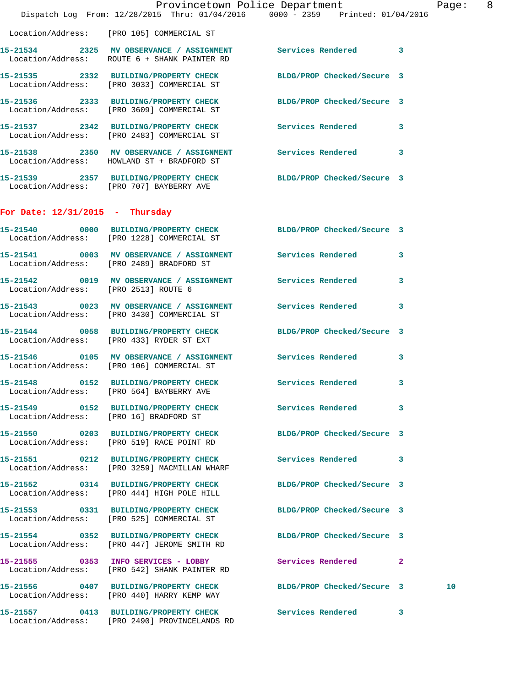|                                   |                                                                                    | Provincetown Police Department<br>Dispatch Log From: 12/28/2015 Thru: 01/04/2016 0000 - 2359 Printed: 01/04/2016 | Page: 8 |
|-----------------------------------|------------------------------------------------------------------------------------|------------------------------------------------------------------------------------------------------------------|---------|
|                                   | Location/Address: [PRO 105] COMMERCIAL ST                                          |                                                                                                                  |         |
|                                   | Location/Address: ROUTE 6 + SHANK PAINTER RD                                       | 15-21534 2325 MV OBSERVANCE / ASSIGNMENT Services Rendered 3                                                     |         |
|                                   | Location/Address: [PRO 3033] COMMERCIAL ST                                         | 15-21535 2332 BUILDING/PROPERTY CHECK BLDG/PROP Checked/Secure 3                                                 |         |
|                                   | Location/Address: [PRO 3609] COMMERCIAL ST                                         | 15-21536 2333 BUILDING/PROPERTY CHECK BLDG/PROP Checked/Secure 3                                                 |         |
|                                   | Location/Address: [PRO 2483] COMMERCIAL ST                                         | 15-21537 2342 BUILDING/PROPERTY CHECK Services Rendered 3                                                        |         |
|                                   | Location/Address: HOWLAND ST + BRADFORD ST                                         | 15-21538 2350 MV OBSERVANCE / ASSIGNMENT Services Rendered 3                                                     |         |
|                                   | Location/Address: [PRO 707] BAYBERRY AVE                                           | 15-21539 2357 BUILDING/PROPERTY CHECK BLDG/PROP Checked/Secure 3                                                 |         |
| For Date: $12/31/2015$ - Thursday |                                                                                    |                                                                                                                  |         |
|                                   | Location/Address: [PRO 1228] COMMERCIAL ST                                         | 15-21540 0000 BUILDING/PROPERTY CHECK BLDG/PROP Checked/Secure 3                                                 |         |
|                                   | Location/Address: [PRO 2489] BRADFORD ST                                           | 15-21541 0003 MV OBSERVANCE / ASSIGNMENT Services Rendered 3                                                     |         |
|                                   |                                                                                    | 15-21542 0019 MV OBSERVANCE / ASSIGNMENT Services Rendered<br>Location/Address: [PRO 2513] ROUTE 6               | 3       |
|                                   | Location/Address: [PRO 3430] COMMERCIAL ST                                         | 15-21543 0023 MV OBSERVANCE / ASSIGNMENT Services Rendered                                                       | 3       |
|                                   | Location/Address: [PRO 433] RYDER ST EXT                                           | 15-21544 0058 BUILDING/PROPERTY CHECK BLDG/PROP Checked/Secure 3                                                 |         |
|                                   | Location/Address: [PRO 106] COMMERCIAL ST                                          | 15-21546 0105 MV OBSERVANCE / ASSIGNMENT Services Rendered                                                       | 3       |
|                                   | Location/Address: [PRO 564] BAYBERRY AVE                                           | 15-21548 0152 BUILDING/PROPERTY CHECK Services Rendered 3                                                        |         |
|                                   | Location/Address: [PRO 16] BRADFORD ST                                             | 15-21549 0152 BUILDING/PROPERTY CHECK Services Rendered 3                                                        |         |
|                                   | 15-21550 0203 BUILDING/PROPERTY CHECK<br>Location/Address: [PRO 519] RACE POINT RD | BLDG/PROP Checked/Secure 3                                                                                       |         |
|                                   | Location/Address: [PRO 3259] MACMILLAN WHARF                                       | 15-21551 0212 BUILDING/PROPERTY CHECK Services Rendered 3                                                        |         |
|                                   | Location/Address: [PRO 444] HIGH POLE HILL                                         | 15-21552 0314 BUILDING/PROPERTY CHECK BLDG/PROP Checked/Secure 3                                                 |         |
|                                   | Location/Address: [PRO 525] COMMERCIAL ST                                          | 15-21553 0331 BUILDING/PROPERTY CHECK BLDG/PROP Checked/Secure 3                                                 |         |
|                                   | Location/Address: [PRO 447] JEROME SMITH RD                                        | 15-21554 0352 BUILDING/PROPERTY CHECK BLDG/PROP Checked/Secure 3                                                 |         |
|                                   | Location/Address: [PRO 542] SHANK PAINTER RD                                       | 15-21555 0353 INFO SERVICES - LOBBY Services Rendered 2                                                          |         |
|                                   | Location/Address: [PRO 440] HARRY KEMP WAY                                         | 15-21556 0407 BUILDING/PROPERTY CHECK BLDG/PROP Checked/Secure 3                                                 | 10      |
|                                   |                                                                                    | 15-21557 0413 BUILDING/PROPERTY CHECK Services Rendered 3                                                        |         |

Location/Address: [PRO 2490] PROVINCELANDS RD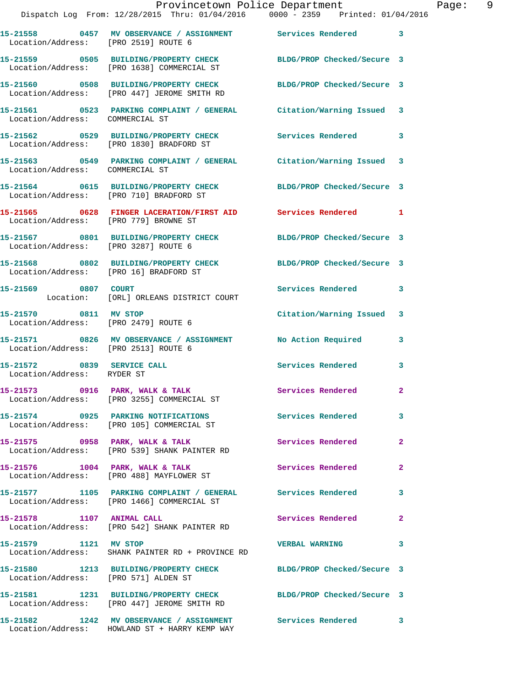|                                                          | Provincetown Police Department<br>Dispatch Log From: 12/28/2015 Thru: 01/04/2016 0000 - 2359 Printed: 01/04/2016 |                          |                |
|----------------------------------------------------------|------------------------------------------------------------------------------------------------------------------|--------------------------|----------------|
| Location/Address: [PRO 2519] ROUTE 6                     | 15-21558 0457 MV OBSERVANCE / ASSIGNMENT Services Rendered 3                                                     |                          |                |
|                                                          | 15-21559 0505 BUILDING/PROPERTY CHECK BLDG/PROP Checked/Secure 3<br>Location/Address: [PRO 1638] COMMERCIAL ST   |                          |                |
|                                                          | 15-21560 0508 BUILDING/PROPERTY CHECK BLDG/PROP Checked/Secure 3<br>Location/Address: [PRO 447] JEROME SMITH RD  |                          |                |
| Location/Address: COMMERCIAL ST                          | 15-21561 0523 PARKING COMPLAINT / GENERAL Citation/Warning Issued                                                |                          | 3              |
|                                                          | 15-21562 0529 BUILDING/PROPERTY CHECK<br>Location/Address: [PRO 1830] BRADFORD ST                                | <b>Services Rendered</b> | 3              |
| Location/Address: COMMERCIAL ST                          | 15-21563 0549 PARKING COMPLAINT / GENERAL Citation/Warning Issued                                                |                          | 3              |
|                                                          | 15-21564 0615 BUILDING/PROPERTY CHECK BLDG/PROP Checked/Secure 3<br>Location/Address: [PRO 710] BRADFORD ST      |                          |                |
| Location/Address: [PRO 779] BROWNE ST                    | 15-21565 0628 FINGER LACERATION/FIRST AID Services Rendered                                                      |                          | 1              |
| Location/Address: [PRO 3287] ROUTE 6                     | 15-21567 0801 BUILDING/PROPERTY CHECK BLDG/PROP Checked/Secure 3                                                 |                          |                |
| Location/Address: [PRO 16] BRADFORD ST                   | 15-21568 0802 BUILDING/PROPERTY CHECK BLDG/PROP Checked/Secure 3                                                 |                          |                |
| 15-21569 0807 COURT                                      | Location: [ORL] ORLEANS DISTRICT COURT                                                                           | <b>Services Rendered</b> | 3              |
| 15-21570 0811 MV STOP                                    | Location/Address: [PRO 2479] ROUTE 6                                                                             | Citation/Warning Issued  | 3              |
| Location/Address: [PRO 2513] ROUTE 6                     | 15-21571 0826 MV OBSERVANCE / ASSIGNMENT No Action Required                                                      |                          | 3              |
| 15-21572 0839 SERVICE CALL<br>Location/Address: RYDER ST |                                                                                                                  | Services Rendered        | 3              |
|                                                          | 15-21573 0916 PARK, WALK & TALK<br>Location/Address: [PRO 3255] COMMERCIAL ST                                    | Services Rendered        | $\overline{a}$ |
|                                                          | 15-21574 0925 PARKING NOTIFICATIONS<br>Location/Address: [PRO 105] COMMERCIAL ST                                 | Services Rendered        | 3              |
|                                                          | 15-21575 0958 PARK, WALK & TALK<br>Location/Address: [PRO 539] SHANK PAINTER RD                                  | Services Rendered        | $\overline{2}$ |
| 15-21576 1004 PARK, WALK & TALK                          | Location/Address: [PRO 488] MAYFLOWER ST                                                                         | Services Rendered        | $\overline{a}$ |
|                                                          | 15-21577 1105 PARKING COMPLAINT / GENERAL Services Rendered<br>Location/Address: [PRO 1466] COMMERCIAL ST        |                          | 3              |
| 15-21578 1107 ANIMAL CALL                                | Location/Address: [PRO 542] SHANK PAINTER RD                                                                     | Services Rendered        | $\overline{a}$ |
| 15-21579 1121 MV STOP                                    | Location/Address: SHANK PAINTER RD + PROVINCE RD                                                                 | <b>VERBAL WARNING</b>    | 3              |
| Location/Address: [PRO 571] ALDEN ST                     | 15-21580 1213 BUILDING/PROPERTY CHECK BLDG/PROP Checked/Secure 3                                                 |                          |                |
|                                                          | 15-21581 1231 BUILDING/PROPERTY CHECK BLDG/PROP Checked/Secure 3<br>Location/Address: [PRO 447] JEROME SMITH RD  |                          |                |
|                                                          | 15-21582               1242    MV  OBSERVANCE  /  ASSIGNMENT                Services  Rendered                3  |                          |                |

Location/Address: HOWLAND ST + HARRY KEMP WAY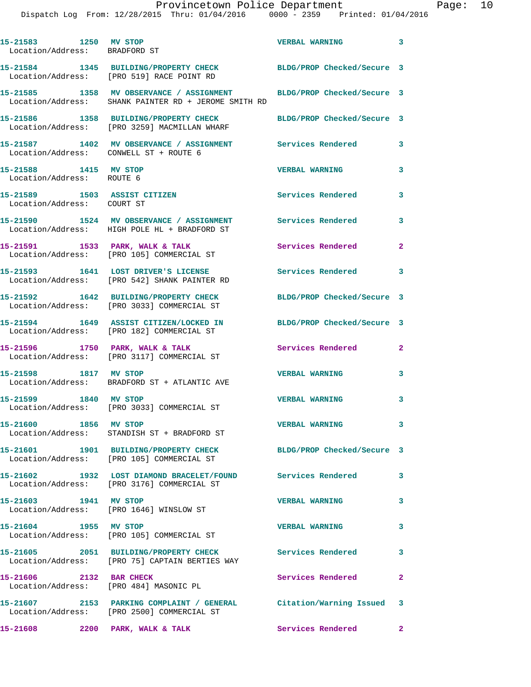| 15-21583 1250 MV STOP<br>Location/Address: BRADFORD ST |                                                                                                                   | <b>VERBAL WARNING</b>      | $\overline{\mathbf{3}}$ |
|--------------------------------------------------------|-------------------------------------------------------------------------------------------------------------------|----------------------------|-------------------------|
|                                                        | 15-21584 1345 BUILDING/PROPERTY CHECK BLDG/PROP Checked/Secure 3<br>Location/Address: [PRO 519] RACE POINT RD     |                            |                         |
|                                                        | 15-21585 1358 MV OBSERVANCE / ASSIGNMENT<br>Location/Address: SHANK PAINTER RD + JEROME SMITH RD                  | BLDG/PROP Checked/Secure 3 |                         |
|                                                        | 15-21586 1358 BUILDING/PROPERTY CHECK<br>Location/Address: [PRO 3259] MACMILLAN WHARF                             | BLDG/PROP Checked/Secure 3 |                         |
|                                                        | 15-21587 1402 MV OBSERVANCE / ASSIGNMENT Services Rendered<br>Location/Address: CONWELL ST + ROUTE 6              |                            | $\overline{\mathbf{3}}$ |
| 15-21588 1415 MV STOP<br>Location/Address: ROUTE 6     |                                                                                                                   | <b>VERBAL WARNING</b>      | 3                       |
| Location/Address: COURT ST                             | 15-21589 1503 ASSIST CITIZEN                                                                                      | Services Rendered          | 3                       |
|                                                        | 15-21590 1524 MV OBSERVANCE / ASSIGNMENT<br>Location/Address: HIGH POLE HL + BRADFORD ST                          | Services Rendered          | 3                       |
|                                                        | 15-21591 1533 PARK, WALK & TALK<br>Location/Address: [PRO 105] COMMERCIAL ST                                      | Services Rendered          | $\mathbf{2}$            |
|                                                        | 15-21593 1641 LOST DRIVER'S LICENSE<br>Location/Address: [PRO 542] SHANK PAINTER RD                               | Services Rendered          | 3                       |
|                                                        | 15-21592 1642 BUILDING/PROPERTY CHECK<br>Location/Address: [PRO 3033] COMMERCIAL ST                               | BLDG/PROP Checked/Secure 3 |                         |
|                                                        | 15-21594 1649 ASSIST CITIZEN/LOCKED IN<br>Location/Address: [PRO 182] COMMERCIAL ST                               | BLDG/PROP Checked/Secure 3 |                         |
|                                                        | 15-21596 1750 PARK, WALK & TALK<br>Location/Address: [PRO 3117] COMMERCIAL ST                                     | <b>Services Rendered</b>   | $\overline{2}$          |
| 15-21598 1817 MV STOP                                  | Location/Address: BRADFORD ST + ATLANTIC AVE                                                                      | <b>VERBAL WARNING</b>      | 3                       |
| 15-21599 1840 MV STOP                                  | Location/Address: [PRO 3033] COMMERCIAL ST                                                                        | <b>VERBAL WARNING</b>      | 3                       |
| 15-21600 1856 MV STOP                                  | Location/Address: STANDISH ST + BRADFORD ST                                                                       | <b>VERBAL WARNING</b>      | 3                       |
|                                                        | 15-21601 1901 BUILDING/PROPERTY CHECK BLDG/PROP Checked/Secure 3<br>Location/Address: [PRO 105] COMMERCIAL ST     |                            |                         |
|                                                        | 15-21602 1932 LOST DIAMOND BRACELET/FOUND Services Rendered<br>Location/Address: [PRO 3176] COMMERCIAL ST         |                            | 3                       |
| 15-21603 1941 MV STOP                                  | Location/Address: [PRO 1646] WINSLOW ST                                                                           | <b>VERBAL WARNING</b>      | 3                       |
| 15-21604 1955 MV STOP                                  | Location/Address: [PRO 105] COMMERCIAL ST                                                                         | <b>VERBAL WARNING</b>      | 3                       |
|                                                        | 15-21605 2051 BUILDING/PROPERTY CHECK Services Rendered<br>Location/Address: [PRO 75] CAPTAIN BERTIES WAY         |                            | 3                       |
| 15-21606 2132 BAR CHECK                                | Location/Address: [PRO 484] MASONIC PL                                                                            | Services Rendered          | $\overline{2}$          |
|                                                        | 15-21607 2153 PARKING COMPLAINT / GENERAL Citation/Warning Issued 3<br>Location/Address: [PRO 2500] COMMERCIAL ST |                            |                         |
| 15-21608                                               | 2200 PARK, WALK & TALK                                                                                            | <b>Services Rendered</b>   | $\mathbf{2}$            |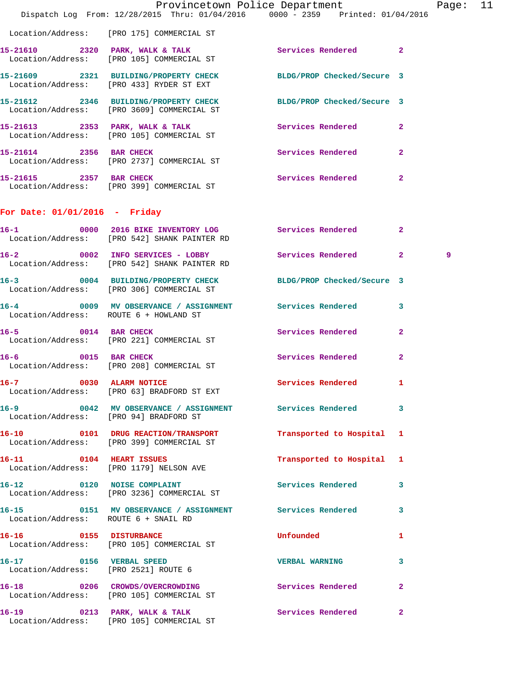|                                      |                                                                                 | Provincetown Police Department                                                 | Page: 11 |  |
|--------------------------------------|---------------------------------------------------------------------------------|--------------------------------------------------------------------------------|----------|--|
|                                      |                                                                                 | Dispatch Log From: 12/28/2015 Thru: 01/04/2016 0000 - 2359 Printed: 01/04/2016 |          |  |
|                                      | Location/Address: [PRO 175] COMMERCIAL ST                                       |                                                                                |          |  |
|                                      | Location/Address: [PRO 105] COMMERCIAL ST                                       | 15-21610 2320 PARK, WALK & TALK Services Rendered 2                            |          |  |
|                                      | Location/Address: [PRO 433] RYDER ST EXT                                        | 15-21609 2321 BUILDING/PROPERTY CHECK BLDG/PROP Checked/Secure 3               |          |  |
|                                      | Location/Address: [PRO 3609] COMMERCIAL ST                                      | 15-21612 2346 BUILDING/PROPERTY CHECK BLDG/PROP Checked/Secure 3               |          |  |
|                                      | Location/Address: [PRO 105] COMMERCIAL ST                                       | 15-21613 2353 PARK, WALK & TALK 3 Services Rendered 2                          |          |  |
|                                      | 15-21614 2356 BAR CHECK<br>Location/Address: [PRO 2737] COMMERCIAL ST           | Services Rendered 2                                                            |          |  |
|                                      | 15-21615 2357 BAR CHECK<br>Location/Address: [PRO 399] COMMERCIAL ST            | Services Rendered 2                                                            |          |  |
| For Date: $01/01/2016$ - Friday      |                                                                                 |                                                                                |          |  |
|                                      | Location/Address: [PRO 542] SHANK PAINTER RD                                    | 16-1 0000 2016 BIKE INVENTORY LOG Services Rendered 2                          |          |  |
|                                      | 16-2 0002 INFO SERVICES - LOBBY<br>Location/Address: [PRO 542] SHANK PAINTER RD | Services Rendered 2                                                            | 9        |  |
|                                      | Location/Address: [PRO 306] COMMERCIAL ST                                       | 16-3 0004 BUILDING/PROPERTY CHECK BLDG/PROP Checked/Secure 3                   |          |  |
|                                      | Location/Address: ROUTE 6 + HOWLAND ST                                          | 16-4 0009 MV OBSERVANCE / ASSIGNMENT Services Rendered 3                       |          |  |
|                                      | 16-5 0014 BAR CHECK<br>Location/Address: [PRO 221] COMMERCIAL ST                | Services Rendered 2                                                            |          |  |
|                                      | 16-6 0015 BAR CHECK<br>Location/Address: [PRO 208] COMMERCIAL ST                | Services Rendered 2                                                            |          |  |
|                                      | 16-7 0030 ALARM NOTICE<br>Location/Address: [PRO 63] BRADFORD ST EXT            | Services Rendered 1                                                            |          |  |
|                                      | Location/Address: [PRO 94] BRADFORD ST                                          | 16-9 		 0042 MV OBSERVANCE / ASSIGNMENT Services Rendered<br>3                 |          |  |
|                                      | Location/Address: [PRO 399] COMMERCIAL ST                                       | 16-10 0101 DRUG REACTION/TRANSPORT Transported to Hospital 1                   |          |  |
|                                      | 16-11 0104 HEART ISSUES<br>Location/Address: [PRO 1179] NELSON AVE              | Transported to Hospital 1                                                      |          |  |
|                                      | 16-12 0120 NOISE COMPLAINT<br>Location/Address: [PRO 3236] COMMERCIAL ST        | Services Rendered 3                                                            |          |  |
| Location/Address: ROUTE 6 + SNAIL RD |                                                                                 | 16-15 		 0151 MV OBSERVANCE / ASSIGNMENT Services Rendered<br>$\mathbf{3}$     |          |  |
|                                      | 16-16 0155 DISTURBANCE<br>Location/Address: [PRO 105] COMMERCIAL ST             | Unfounded<br>1                                                                 |          |  |
| 16-17 0156 VERBAL SPEED              | Location/Address: [PRO 2521] ROUTE 6                                            | <b>VERBAL WARNING</b><br>$\mathbf{3}$                                          |          |  |
|                                      | 16-18 0206 CROWDS/OVERCROWDING<br>Location/Address: [PRO 105] COMMERCIAL ST     | Services Rendered<br>$\mathbf{2}$                                              |          |  |
|                                      | 16-19 0213 PARK, WALK & TALK                                                    | Services Rendered 2                                                            |          |  |

Location/Address: [PRO 105] COMMERCIAL ST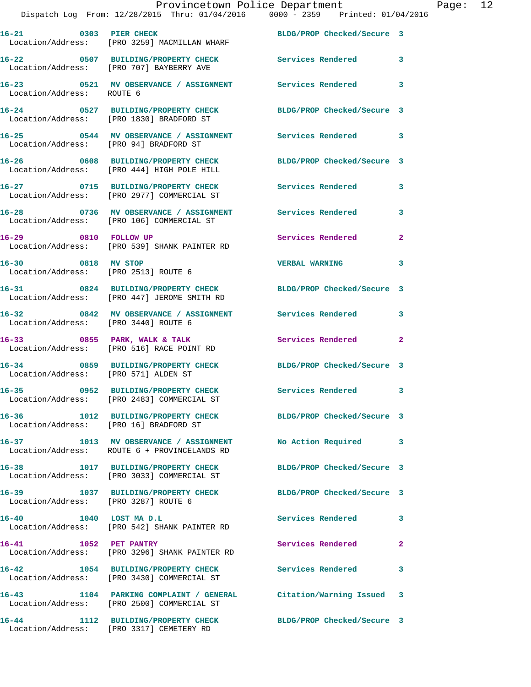|                                      | Provincetown Police Department<br>Dispatch Log From: 12/28/2015 Thru: 01/04/2016  0000 - 2359  Printed: 01/04/2016 |                            |                |
|--------------------------------------|--------------------------------------------------------------------------------------------------------------------|----------------------------|----------------|
|                                      | 16-21 0303 PIER CHECK BLDG/PROP Checked/Secure 3<br>Location/Address: [PRO 3259] MACMILLAN WHARF                   |                            |                |
|                                      | 16-22 0507 BUILDING/PROPERTY CHECK Services Rendered 3<br>Location/Address: [PRO 707] BAYBERRY AVE                 |                            |                |
| Location/Address: ROUTE 6            | 16-23 0521 MV OBSERVANCE / ASSIGNMENT Services Rendered                                                            |                            | 3              |
|                                      | 16-24 0527 BUILDING/PROPERTY CHECK BLDG/PROP Checked/Secure 3<br>Location/Address: [PRO 1830] BRADFORD ST          |                            |                |
|                                      | 16-25 0544 MV OBSERVANCE / ASSIGNMENT Services Rendered 3<br>Location/Address: [PRO 94] BRADFORD ST                |                            |                |
|                                      | 16-26 0608 BUILDING/PROPERTY CHECK BLDG/PROP Checked/Secure 3<br>Location/Address: [PRO 444] HIGH POLE HILL        |                            |                |
|                                      | 16-27 0715 BUILDING/PROPERTY CHECK<br>Location/Address: [PRO 2977] COMMERCIAL ST                                   | Services Rendered          | 3              |
|                                      | 16-28 0736 MV OBSERVANCE / ASSIGNMENT Services Rendered<br>Location/Address: [PRO 106] COMMERCIAL ST               |                            | 3              |
| 16-29 0810 FOLLOW UP                 | Location/Address: [PRO 539] SHANK PAINTER RD                                                                       | <b>Services Rendered</b>   | $\overline{2}$ |
| 16-30 0818 MV STOP                   | Location/Address: [PRO 2513] ROUTE 6                                                                               | <b>VERBAL WARNING</b>      | 3              |
|                                      | 16-31 0824 BUILDING/PROPERTY CHECK BLDG/PROP Checked/Secure 3<br>Location/Address: [PRO 447] JEROME SMITH RD       |                            |                |
| Location/Address: [PRO 3440] ROUTE 6 | 16-32 0842 MV OBSERVANCE / ASSIGNMENT Services Rendered                                                            |                            | 3              |
|                                      | 16-33 0855 PARK, WALK & TALK 1988 Services Rendered 2<br>Location/Address: [PRO 516] RACE POINT RD                 |                            |                |
|                                      | 16-34 0859 BUILDING/PROPERTY CHECK BLDG/PROP Checked/Secure 3<br>Location/Address: [PRO 571] ALDEN ST              |                            |                |
|                                      | 16-35 0952 BUILDING/PROPERTY CHECK<br>Location/Address: [PRO 2483] COMMERCIAL ST                                   | Services Rendered 3        |                |
|                                      | 16-36 1012 BUILDING/PROPERTY CHECK BLDG/PROP Checked/Secure 3<br>Location/Address: [PRO 16] BRADFORD ST            |                            |                |
| 16-37                                | 1013 MV OBSERVANCE / ASSIGNMENT No Action Required 3<br>Location/Address: ROUTE 6 + PROVINCELANDS RD               |                            |                |
|                                      | 16-38 1017 BUILDING/PROPERTY CHECK BLDG/PROP Checked/Secure 3<br>Location/Address: [PRO 3033] COMMERCIAL ST        |                            |                |
| Location/Address: [PRO 3287] ROUTE 6 | 16-39 1037 BUILDING/PROPERTY CHECK                                                                                 | BLDG/PROP Checked/Secure 3 |                |
|                                      | 16-40 1040 LOST MAD.L<br>Location/Address: [PRO 542] SHANK PAINTER RD                                              | <b>Services Rendered</b>   | 3              |
| 1052 PET PANTRY<br>16-41             | Location/Address: [PRO 3296] SHANK PAINTER RD                                                                      | Services Rendered          | $\mathbf{2}$   |
|                                      | 16-42 1054 BUILDING/PROPERTY CHECK<br>Location/Address: [PRO 3430] COMMERCIAL ST                                   | <b>Services Rendered</b>   | 3              |
| $16 - 43$                            | 1104 PARKING COMPLAINT / GENERAL Citation/Warning Issued 3<br>Location/Address: [PRO 2500] COMMERCIAL ST           |                            |                |
|                                      |                                                                                                                    |                            |                |

**16-44 1112 BUILDING/PROPERTY CHECK BLDG/PROP Checked/Secure 3** 

Location/Address: [PRO 3317] CEMETERY RD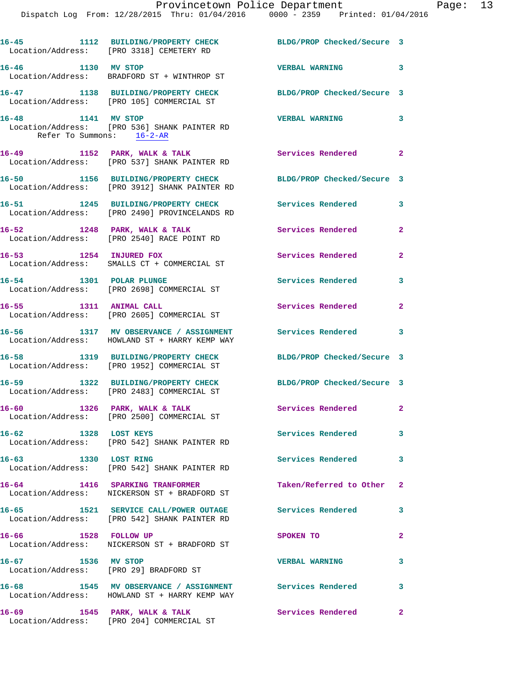|                                                              | 16-45 1112 BUILDING/PROPERTY CHECK<br>Location/Address: [PRO 3318] CEMETERY RD                             | BLDG/PROP Checked/Secure 3 |                         |
|--------------------------------------------------------------|------------------------------------------------------------------------------------------------------------|----------------------------|-------------------------|
|                                                              | 16-46 1130 MV STOP<br>Location/Address: BRADFORD ST + WINTHROP ST                                          | <b>VERBAL WARNING</b>      | $\overline{\mathbf{3}}$ |
|                                                              | 16-47 1138 BUILDING/PROPERTY CHECK<br>Location/Address: [PRO 105] COMMERCIAL ST                            | BLDG/PROP Checked/Secure 3 |                         |
| 16-48 1141 MV STOP<br>Refer To Summons: 16-2-AR              | Location/Address: [PRO 536] SHANK PAINTER RD                                                               | <b>VERBAL WARNING</b>      | 3                       |
|                                                              | 16-49 1152 PARK, WALK & TALK<br>Location/Address: [PRO 537] SHANK PAINTER RD                               | Services Rendered 2        |                         |
|                                                              | 16-50 1156 BUILDING/PROPERTY CHECK<br>Location/Address: [PRO 3912] SHANK PAINTER RD                        | BLDG/PROP Checked/Secure 3 |                         |
|                                                              | 16-51 1245 BUILDING/PROPERTY CHECK<br>Location/Address: [PRO 2490] PROVINCELANDS RD                        | <b>Services Rendered</b>   | 3                       |
|                                                              | 16-52 1248 PARK, WALK & TALK<br>Location/Address: [PRO 2540] RACE POINT RD                                 | Services Rendered          | $\mathbf{2}$            |
| 16-53 1254 INJURED FOX                                       | Location/Address: SMALLS CT + COMMERCIAL ST                                                                | Services Rendered          | $\mathbf{2}$            |
| 16-54 1301 POLAR PLUNGE                                      | Location/Address: [PRO 2698] COMMERCIAL ST                                                                 | <b>Services Rendered</b>   | 3                       |
| 16-55 1311 ANIMAL CALL                                       | Location/Address: [PRO 2605] COMMERCIAL ST                                                                 | Services Rendered          | $\mathbf{2}$            |
|                                                              | 16-56 1317 MV OBSERVANCE / ASSIGNMENT Services Rendered 3<br>Location/Address: HOWLAND ST + HARRY KEMP WAY |                            |                         |
|                                                              | 16-58 1319 BUILDING/PROPERTY CHECK<br>Location/Address: [PRO 1952] COMMERCIAL ST                           | BLDG/PROP Checked/Secure 3 |                         |
|                                                              | 16-59 1322 BUILDING/PROPERTY CHECK<br>Location/Address: [PRO 2483] COMMERCIAL ST                           | BLDG/PROP Checked/Secure 3 |                         |
|                                                              | 16-60 1326 PARK, WALK & TALK<br>Location/Address: [PRO 2500] COMMERCIAL ST                                 | Services Rendered 2        |                         |
| 16-62 1328 LOST KEYS                                         | Location/Address: [PRO 542] SHANK PAINTER RD                                                               | Services Rendered          | 3                       |
| 16-63 1330 LOST RING                                         | Location/Address: [PRO 542] SHANK PAINTER RD                                                               | Services Rendered          | 3                       |
|                                                              | 16-64 1416 SPARKING TRANFORMER<br>Location/Address: NICKERSON ST + BRADFORD ST                             | Taken/Referred to Other 2  |                         |
|                                                              | 16-65 1521 SERVICE CALL/POWER OUTAGE<br>Location/Address: [PRO 542] SHANK PAINTER RD                       | <b>Services Rendered</b>   | 3                       |
| 16-66 1528 FOLLOW UP                                         | Location/Address: NICKERSON ST + BRADFORD ST                                                               | SPOKEN TO                  | $\mathbf{2}$            |
| 16-67 1536 MV STOP<br>Location/Address: [PRO 29] BRADFORD ST |                                                                                                            | <b>VERBAL WARNING</b>      | 3                       |
| 16-68                                                        | 1545 MV OBSERVANCE / ASSIGNMENT Services Rendered<br>Location/Address: HOWLAND ST + HARRY KEMP WAY         |                            | 3                       |
|                                                              | 16-69 1545 PARK, WALK & TALK<br>Location/Address: [PRO 204] COMMERCIAL ST                                  | Services Rendered          | 2                       |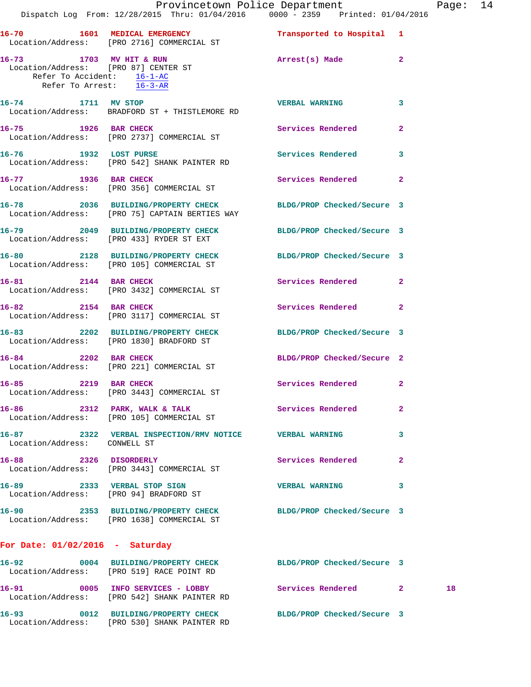|                                                                                                                           | Provincetown Police Department<br>Dispatch Log From: 12/28/2015 Thru: 01/04/2016 0000 - 2359 Printed: 01/04/2016 |                            |                | Page: 14 |  |
|---------------------------------------------------------------------------------------------------------------------------|------------------------------------------------------------------------------------------------------------------|----------------------------|----------------|----------|--|
|                                                                                                                           | 16-70 1601 MEDICAL EMERGENCY<br>Location/Address: [PRO 2716] COMMERCIAL ST                                       | Transported to Hospital 1  |                |          |  |
| 16-73 1703 MV HIT & RUN<br>Location/Address: [PRO 87] CENTER ST<br>Refer To Accident: 16-1-AC<br>Refer To Arrest: 16-3-AR |                                                                                                                  | Arrest(s) Made 2           |                |          |  |
| 16-74 1711 MV STOP                                                                                                        | Location/Address: BRADFORD ST + THISTLEMORE RD                                                                   | <b>VERBAL WARNING</b>      | 3              |          |  |
|                                                                                                                           | 16-75 1926 BAR CHECK<br>Location/Address: [PRO 2737] COMMERCIAL ST                                               | Services Rendered          | $\mathbf{2}$   |          |  |
| 16-76 1932 LOST PURSE                                                                                                     | Location/Address: [PRO 542] SHANK PAINTER RD                                                                     | Services Rendered 3        |                |          |  |
|                                                                                                                           | 16-77 1936 BAR CHECK<br>Location/Address: [PRO 356] COMMERCIAL ST                                                | Services Rendered          | $\overline{2}$ |          |  |
|                                                                                                                           | 16-78 2036 BUILDING/PROPERTY CHECK<br>Location/Address: [PRO 75] CAPTAIN BERTIES WAY                             | BLDG/PROP Checked/Secure 3 |                |          |  |
|                                                                                                                           | 16-79 2049 BUILDING/PROPERTY CHECK<br>Location/Address: [PRO 433] RYDER ST EXT                                   | BLDG/PROP Checked/Secure 3 |                |          |  |
|                                                                                                                           | 16-80 2128 BUILDING/PROPERTY CHECK<br>Location/Address: [PRO 105] COMMERCIAL ST                                  | BLDG/PROP Checked/Secure 3 |                |          |  |
|                                                                                                                           | 16-81 2144 BAR CHECK<br>Location/Address: [PRO 3432] COMMERCIAL ST                                               | Services Rendered          | $\mathbf{2}$   |          |  |
| 16-82 2154 BAR CHECK                                                                                                      | Location/Address: [PRO 3117] COMMERCIAL ST                                                                       | Services Rendered          | $\mathbf{2}$   |          |  |
|                                                                                                                           | 16-83 2202 BUILDING/PROPERTY CHECK<br>Location/Address: [PRO 1830] BRADFORD ST                                   | BLDG/PROP Checked/Secure 3 |                |          |  |
| 16-84 2202 BAR CHECK                                                                                                      | Location/Address: [PRO 221] COMMERCIAL ST                                                                        | BLDG/PROP Checked/Secure 2 |                |          |  |
| <b>2219 BAR CHECK</b><br>$16 - 85$                                                                                        | Location/Address: [PRO 3443] COMMERCIAL ST                                                                       | Services Rendered 2        |                |          |  |
|                                                                                                                           | 16-86 2312 PARK, WALK & TALK 2008 Services Rendered<br>Location/Address: [PRO 105] COMMERCIAL ST                 |                            | $\mathbf{2}$   |          |  |
| Location/Address: CONWELL ST                                                                                              |                                                                                                                  |                            | 3              |          |  |
| 16-88 2326 DISORDERLY                                                                                                     | Location/Address: [PRO 3443] COMMERCIAL ST                                                                       | Services Rendered          | $\mathbf{2}$   |          |  |
| 16-89 2333 VERBAL STOP SIGN                                                                                               | Location/Address: [PRO 94] BRADFORD ST                                                                           | <b>VERBAL WARNING</b>      | 3              |          |  |
|                                                                                                                           | 16-90  2353 BUILDING/PROPERTY CHECK BLDG/PROP Checked/Secure 3<br>Location/Address: [PRO 1638] COMMERCIAL ST     |                            |                |          |  |
| For Date: $01/02/2016$ - Saturday                                                                                         |                                                                                                                  |                            |                |          |  |
|                                                                                                                           | 16-92 0004 BUILDING/PROPERTY CHECK BLDG/PROP Checked/Secure 3<br>Location/Address: [PRO 519] RACE POINT RD       |                            |                |          |  |
|                                                                                                                           | 16-91 0005 INFO SERVICES - LOBBY<br>Location/Address: [PRO 542] SHANK PAINTER RD                                 | Services Rendered 2        |                | 18       |  |

**16-93 0012 BUILDING/PROPERTY CHECK BLDG/PROP Checked/Secure 3** 

Location/Address: [PRO 530] SHANK PAINTER RD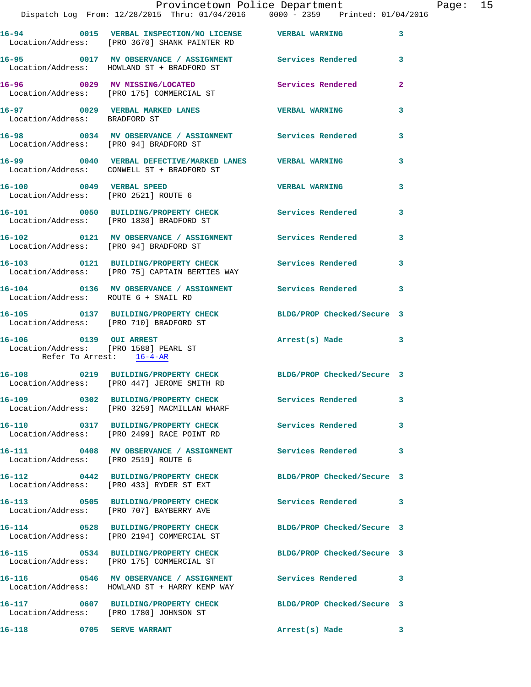|                                                    | Provincetown Police Department<br>Dispatch Log From: 12/28/2015 Thru: 01/04/2016 0000 - 2359 Printed: 01/04/2016      |                            |   |
|----------------------------------------------------|-----------------------------------------------------------------------------------------------------------------------|----------------------------|---|
|                                                    | 16-94       0015  VERBAL INSPECTION/NO LICENSE      VERBAL WARNING<br>Location/Address:   [PRO 3670] SHANK PAINTER RD |                            | 3 |
|                                                    | 16-95 0017 MV OBSERVANCE / ASSIGNMENT Services Rendered                                                               |                            | 3 |
|                                                    | Location/Address: HOWLAND ST + BRADFORD ST                                                                            | Services Rendered          | 2 |
|                                                    | 16-96 0029 MV MISSING/LOCATED<br>Location/Address: [PRO 175] COMMERCIAL ST                                            |                            |   |
| Location/Address: BRADFORD ST                      |                                                                                                                       |                            | 3 |
| Location/Address: [PRO 94] BRADFORD ST             | 16-98 6034 MV OBSERVANCE / ASSIGNMENT Services Rendered                                                               |                            | 3 |
|                                                    | 16-99 0040 VERBAL DEFECTIVE/MARKED LANES VERBAL WARNING<br>Location/Address: CONWELL ST + BRADFORD ST                 |                            | 3 |
| 16-100 0049 VERBAL SPEED                           | Location/Address: [PRO 2521] ROUTE 6                                                                                  | <b>VERBAL WARNING</b>      | 3 |
|                                                    | 16-101 0050 BUILDING/PROPERTY CHECK Services Rendered<br>Location/Address: [PRO 1830] BRADFORD ST                     |                            | 3 |
| Location/Address: [PRO 94] BRADFORD ST             | 16-102 0121 MV OBSERVANCE / ASSIGNMENT Services Rendered                                                              |                            | 3 |
|                                                    | 16-103 0121 BUILDING/PROPERTY CHECK<br>Location/Address: [PRO 75] CAPTAIN BERTIES WAY                                 | <b>Services Rendered</b>   | 3 |
| Location/Address: ROUTE 6 + SNAIL RD               | 16-104 0136 MV OBSERVANCE / ASSIGNMENT Services Rendered                                                              |                            | 3 |
| Location/Address: [PRO 710] BRADFORD ST            | 16-105 0137 BUILDING/PROPERTY CHECK BLDG/PROP Checked/Secure 3                                                        |                            |   |
| 16-106 0139 OUI ARREST<br>Refer To Arrest: 16-4-AR | Location/Address: [PRO 1588] PEARL ST                                                                                 | Arrest(s) Made             | 3 |
|                                                    | 16-108 0219 BUILDING/PROPERTY CHECK BLDG/PROP Checked/Secure 3<br>Location/Address: [PRO 447] JEROME SMITH RD         |                            |   |
|                                                    | 16-109 0302 BUILDING/PROPERTY CHECK Services Rendered<br>Location/Address: [PRO 3259] MACMILLAN WHARF                 |                            | 3 |
|                                                    | 16-110 0317 BUILDING/PROPERTY CHECK<br>Location/Address: [PRO 2499] RACE POINT RD                                     | Services Rendered          | 3 |
| 16–111<br>Location/Address: [PRO 2519] ROUTE 6     | 0408 MV OBSERVANCE / ASSIGNMENT Services Rendered                                                                     |                            | 3 |
|                                                    | 16-112 0442 BUILDING/PROPERTY CHECK<br>Location/Address: [PRO 433] RYDER ST EXT                                       | BLDG/PROP Checked/Secure 3 |   |
|                                                    | 16-113 0505 BUILDING/PROPERTY CHECK<br>Location/Address: [PRO 707] BAYBERRY AVE                                       | Services Rendered          | 3 |
|                                                    | 16-114 0528 BUILDING/PROPERTY CHECK<br>Location/Address: [PRO 2194] COMMERCIAL ST                                     | BLDG/PROP Checked/Secure 3 |   |
|                                                    | 16-115 0534 BUILDING/PROPERTY CHECK<br>Location/Address: [PRO 175] COMMERCIAL ST                                      | BLDG/PROP Checked/Secure 3 |   |
|                                                    | 16-116 		 0546 MV OBSERVANCE / ASSIGNMENT Services Rendered<br>Location/Address: HOWLAND ST + HARRY KEMP WAY          |                            | 3 |
| Location/Address: [PRO 1780] JOHNSON ST            | 16-117 0607 BUILDING/PROPERTY CHECK                                                                                   | BLDG/PROP Checked/Secure 3 |   |
| 16–118                                             | 0705 SERVE WARRANT                                                                                                    | Arrest(s) Made             | 3 |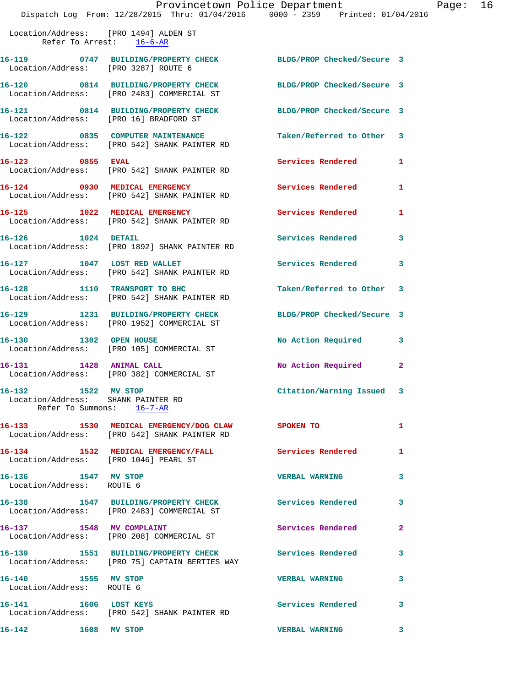|                                                                 | Dispatch Log From: 12/28/2015 Thru: 01/04/2016 0000 - 2359 Printed: 01/04/2016                               | Provincetown Police Department |              | Page: 16 |
|-----------------------------------------------------------------|--------------------------------------------------------------------------------------------------------------|--------------------------------|--------------|----------|
| Location/Address: [PRO 1494] ALDEN ST                           | Refer To Arrest: 16-6-AR                                                                                     |                                |              |          |
| Location/Address: [PRO 3287] ROUTE 6                            | 16-119 0747 BUILDING/PROPERTY CHECK BLDG/PROP Checked/Secure 3                                               |                                |              |          |
|                                                                 | 16-120 0814 BUILDING/PROPERTY CHECK BLDG/PROP Checked/Secure 3<br>Location/Address: [PRO 2483] COMMERCIAL ST |                                |              |          |
|                                                                 | 16-121 0814 BUILDING/PROPERTY CHECK BLDG/PROP Checked/Secure 3<br>Location/Address: [PRO 16] BRADFORD ST     |                                |              |          |
|                                                                 | 16-122 0835 COMPUTER MAINTENANCE<br>Location/Address: [PRO 542] SHANK PAINTER RD                             | Taken/Referred to Other 3      |              |          |
| 16-123 0855 EVAL                                                | Location/Address: [PRO 542] SHANK PAINTER RD                                                                 | Services Rendered 1            |              |          |
|                                                                 | 16-124 0930 MEDICAL EMERGENCY<br>Location/Address: [PRO 542] SHANK PAINTER RD                                | Services Rendered              | 1            |          |
|                                                                 | 16-125 1022 MEDICAL EMERGENCY<br>Location/Address: [PRO 542] SHANK PAINTER RD                                | Services Rendered 1            |              |          |
|                                                                 | 16-126 1024 DETAIL<br>Location/Address: [PRO 1892] SHANK PAINTER RD                                          | Services Rendered              | 3            |          |
|                                                                 | 16-127 1047 LOST RED WALLET<br>Location/Address: [PRO 542] SHANK PAINTER RD                                  | Services Rendered 3            |              |          |
|                                                                 | 16-128 1110 TRANSPORT TO BHC<br>Location/Address: [PRO 542] SHANK PAINTER RD                                 | Taken/Referred to Other 3      |              |          |
|                                                                 | 16-129 1231 BUILDING/PROPERTY CHECK<br>Location/Address: [PRO 1952] COMMERCIAL ST                            | BLDG/PROP Checked/Secure 3     |              |          |
|                                                                 | 16-130 1302 OPEN HOUSE<br>Location/Address: [PRO 105] COMMERCIAL ST                                          | No Action Required             | 3            |          |
| 16-131 1428 ANIMAL CALL                                         | Location/Address: [PRO 382] COMMERCIAL ST                                                                    | No Action Required             | $\mathbf{2}$ |          |
| Location/Address: SHANK PAINTER RD<br>Refer To Summons: 16-7-AR | 16-132 1522 MV STOP                                                                                          | Citation/Warning Issued 3      |              |          |
|                                                                 | 16-133 1530 MEDICAL EMERGENCY/DOG CLAW SPOKEN TO<br>Location/Address: [PRO 542] SHANK PAINTER RD             |                                | 1            |          |
| Location/Address: [PRO 1046] PEARL ST                           | 16-134 1532 MEDICAL EMERGENCY/FALL Services Rendered                                                         |                                | 1            |          |
| 16-136 1547 MV STOP<br>Location/Address: ROUTE 6                |                                                                                                              | <b>VERBAL WARNING</b>          | 3            |          |
|                                                                 | 16-138 1547 BUILDING/PROPERTY CHECK Services Rendered<br>Location/Address: [PRO 2483] COMMERCIAL ST          |                                | 3            |          |
| 16-137 1548 MV COMPLAINT                                        | Location/Address: [PRO 208] COMMERCIAL ST                                                                    | Services Rendered              | $\mathbf{2}$ |          |
|                                                                 | 16-139 1551 BUILDING/PROPERTY CHECK Services Rendered<br>Location/Address: [PRO 75] CAPTAIN BERTIES WAY      |                                | 3            |          |
| 16-140 1555 MV STOP<br>Location/Address: ROUTE 6                |                                                                                                              | <b>VERBAL WARNING</b>          | 3            |          |
|                                                                 | 16-141 1606 LOST KEYS<br>Location/Address: [PRO 542] SHANK PAINTER RD                                        | Services Rendered              | 3            |          |
| 16-142 1608 MV STOP                                             |                                                                                                              | <b>VERBAL WARNING</b>          | 3            |          |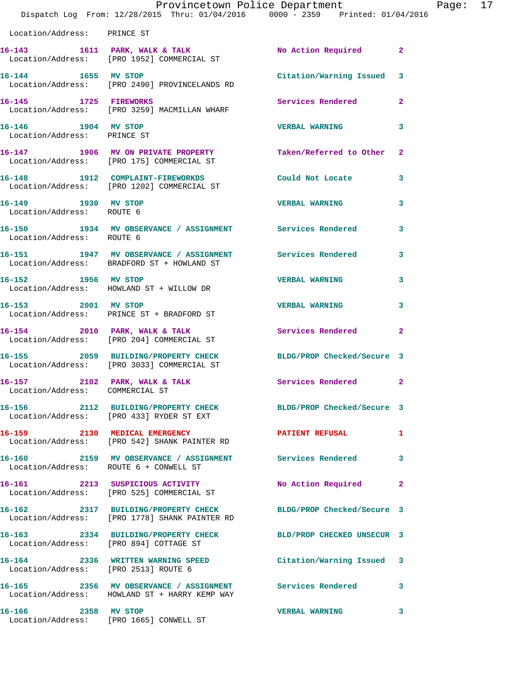|                                                    | Provincetown Police Department The Rage: 17<br>Dispatch Log From: 12/28/2015 Thru: 01/04/2016 0000 - 2359 Printed: 01/04/2016 |                                        |              |  |
|----------------------------------------------------|-------------------------------------------------------------------------------------------------------------------------------|----------------------------------------|--------------|--|
| Location/Address: PRINCE ST                        |                                                                                                                               |                                        |              |  |
|                                                    | 16-143 1611 PARK, WALK & TALK 1999 No Action Required 2<br>Location/Address: [PRO 1952] COMMERCIAL ST                         |                                        |              |  |
| 16-144 1655 MV STOP                                | Location/Address: [PRO 2490] PROVINCELANDS RD                                                                                 | Citation/Warning Issued 3              |              |  |
|                                                    | 16-145 1725 FIREWORKS<br>Location/Address: [PRO 3259] MACMILLAN WHARF                                                         | Services Rendered 2                    |              |  |
| 16-146 1904 MV STOP<br>Location/Address: PRINCE ST |                                                                                                                               | VERBAL WARNING 3                       |              |  |
|                                                    | 16-147 1906 MV ON PRIVATE PROPERTY<br>Location/Address: [PRO 175] COMMERCIAL ST                                               | Taken/Referred to Other 2              |              |  |
|                                                    | 16-148 1912 COMPLAINT-FIREWORKDS Could Not Locate 3<br>Location/Address: [PRO 1202] COMMERCIAL ST                             |                                        |              |  |
| 16-149 1930 MV STOP<br>Location/Address: ROUTE 6   |                                                                                                                               | <b>VERBAL WARNING</b>                  | $\mathbf{3}$ |  |
| Location/Address: ROUTE 6                          | 16-150 1934 MV OBSERVANCE / ASSIGNMENT Services Rendered                                                                      |                                        | 3            |  |
|                                                    | 16-151 1947 MV OBSERVANCE / ASSIGNMENT Services Rendered 3<br>Location/Address: BRADFORD ST + HOWLAND ST                      |                                        |              |  |
| 16-152 1956 MV STOP                                | Location/Address: HOWLAND ST + WILLOW DR                                                                                      | <b>VERBAL WARNING</b>                  | $\mathbf{3}$ |  |
|                                                    | 16-153 2001 MV STOP<br>Location/Address: PRINCE ST + BRADFORD ST                                                              | VERBAL WARNING 3                       |              |  |
|                                                    | 16-154 2010 PARK, WALK & TALK<br>Location/Address: [PRO 204] COMMERCIAL ST                                                    | Services Rendered 2                    |              |  |
|                                                    | 16-155 2059 BUILDING/PROPERTY CHECK BLDG/PROP Checked/Secure 3<br>Location/Address: [PRO 3033] COMMERCIAL ST                  |                                        |              |  |
| Location/Address: COMMERCIAL ST                    | $16-157$ 2102 PARK, WALK & TALK                                                                                               | <b>Services Rendered 22 Services</b> 2 |              |  |
|                                                    | 16-156 2112 BUILDING/PROPERTY CHECK BLDG/PROP Checked/Secure 3<br>Location/Address: [PRO 433] RYDER ST EXT                    |                                        |              |  |
|                                                    | 16-159 2130 MEDICAL EMERGENCY PATIENT REFUSAL<br>Location/Address: [PRO 542] SHANK PAINTER RD                                 |                                        | $\mathbf{1}$ |  |
|                                                    | 16-160 2159 MV OBSERVANCE / ASSIGNMENT Services Rendered<br>Location/Address: ROUTE 6 + CONWELL ST                            |                                        | 3            |  |
|                                                    | 16-161 2213 SUSPICIOUS ACTIVITY<br>Location/Address: [PRO 525] COMMERCIAL ST                                                  | No Action Required 2                   |              |  |
|                                                    | 16-162 2317 BUILDING/PROPERTY CHECK BLDG/PROP Checked/Secure 3<br>Location/Address: [PRO 1778] SHANK PAINTER RD               |                                        |              |  |
|                                                    | 16-163 2334 BUILDING/PROPERTY CHECK BLD/PROP CHECKED UNSECUR 3<br>Location/Address: [PRO 894] COTTAGE ST                      |                                        |              |  |
| Location/Address: [PRO 2513] ROUTE 6               | 16-164 2336 WRITTEN WARNING SPEED Citation/Warning Issued 3                                                                   |                                        |              |  |
|                                                    | 16-165 2356 MV OBSERVANCE / ASSIGNMENT Services Rendered 3<br>Location/Address: HOWLAND ST + HARRY KEMP WAY                   |                                        |              |  |
| 2358 MV STOP<br>16–166                             | Location/Address: [PRO 1665] CONWELL ST                                                                                       | VERBAL WARNING 3                       |              |  |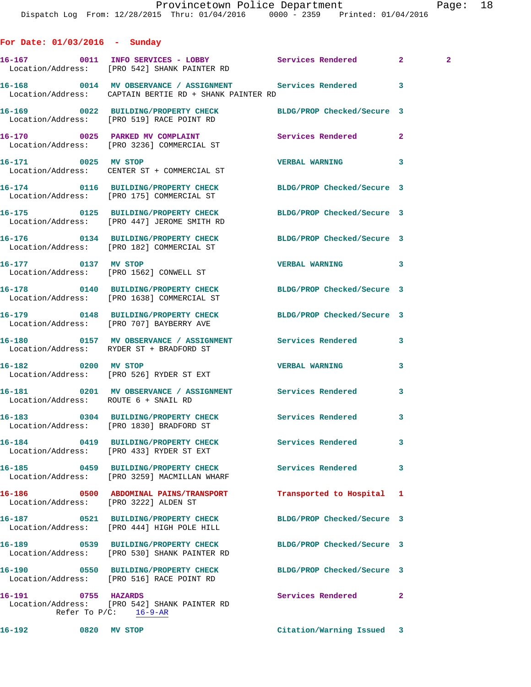**For Date: 01/03/2016 - Sunday**

|                                       | 16-167 0011 INFO SERVICES - LOBBY Services Rendered<br>Location/Address: [PRO 542] SHANK PAINTER RD                  |                            | $2^{\circ}$  | $\mathbf{2}$ |
|---------------------------------------|----------------------------------------------------------------------------------------------------------------------|----------------------------|--------------|--------------|
|                                       | 16-168 0014 MV OBSERVANCE / ASSIGNMENT Services Rendered 3<br>Location/Address: CAPTAIN BERTIE RD + SHANK PAINTER RD |                            |              |              |
|                                       | 16-169 0022 BUILDING/PROPERTY CHECK BLDG/PROP Checked/Secure 3<br>Location/Address: [PRO 519] RACE POINT RD          |                            |              |              |
|                                       | 16-170 0025 PARKED MV COMPLAINT<br>Location/Address: [PRO 3236] COMMERCIAL ST                                        | Services Rendered          | $\mathbf{2}$ |              |
| 16-171 0025 MV STOP                   | Location/Address: CENTER ST + COMMERCIAL ST                                                                          | <b>VERBAL WARNING</b>      | 3            |              |
|                                       | 16-174 0116 BUILDING/PROPERTY CHECK BLDG/PROP Checked/Secure 3<br>Location/Address: [PRO 175] COMMERCIAL ST          |                            |              |              |
|                                       | 16-175 0125 BUILDING/PROPERTY CHECK BLDG/PROP Checked/Secure 3<br>Location/Address: [PRO 447] JEROME SMITH RD        |                            |              |              |
|                                       | 16-176 			 0134 BUILDING/PROPERTY CHECK 				BLDG/PROP Checked/Secure 3<br>Location/Address: [PRO 182] COMMERCIAL ST  |                            |              |              |
| 16-177 0137 MV STOP                   | Location/Address: [PRO 1562] CONWELL ST                                                                              | VERBAL WARNING 3           |              |              |
|                                       | 16-178 			 0140 BUILDING/PROPERTY CHECK 				BLDG/PROP Checked/Secure 3<br>Location/Address: [PRO 1638] COMMERCIAL ST |                            |              |              |
|                                       | 16-179 0148 BUILDING/PROPERTY CHECK BLDG/PROP Checked/Secure 3<br>Location/Address: [PRO 707] BAYBERRY AVE           |                            |              |              |
|                                       | Location/Address: RYDER ST + BRADFORD ST                                                                             |                            | 3            |              |
| 16-182 0200 MV STOP                   | Location/Address: [PRO 526] RYDER ST EXT                                                                             | <b>VERBAL WARNING</b>      | 3            |              |
| Location/Address: ROUTE 6 + SNAIL RD  | 16-181 		 0201 MV OBSERVANCE / ASSIGNMENT Services Rendered                                                          |                            | 3            |              |
|                                       | 16-183 0304 BUILDING/PROPERTY CHECK Services Rendered<br>Location/Address: [PRO 1830] BRADFORD ST                    |                            | 3            |              |
|                                       | 16-184 0419 BUILDING/PROPERTY CHECK<br>Location/Address: [PRO 433] RYDER ST EXT                                      | Services Rendered          | 3            |              |
| 16–185                                | 0459 BUILDING/PROPERTY CHECK<br>Location/Address: [PRO 3259] MACMILLAN WHARF                                         | Services Rendered          | 3            |              |
| Location/Address: [PRO 3222] ALDEN ST | 16-186 0500 ABDOMINAL PAINS/TRANSPORT                                                                                | Transported to Hospital    | 1            |              |
| 16–187                                | 0521 BUILDING/PROPERTY CHECK<br>Location/Address: [PRO 444] HIGH POLE HILL                                           | BLDG/PROP Checked/Secure 3 |              |              |
|                                       | 16-189 0539 BUILDING/PROPERTY CHECK<br>Location/Address: [PRO 530] SHANK PAINTER RD                                  | BLDG/PROP Checked/Secure 3 |              |              |
| 16–190                                | 0550 BUILDING/PROPERTY CHECK<br>Location/Address: [PRO 516] RACE POINT RD                                            | BLDG/PROP Checked/Secure 3 |              |              |
| 16-191<br>0755 HAZARDS                | Location/Address: [PRO 542] SHANK PAINTER RD<br>Refer To $P/C$ : 16-9-AR                                             | Services Rendered          | $\mathbf{2}$ |              |
|                                       |                                                                                                                      |                            |              |              |

**16-192 0820 MV STOP Citation/Warning Issued 3**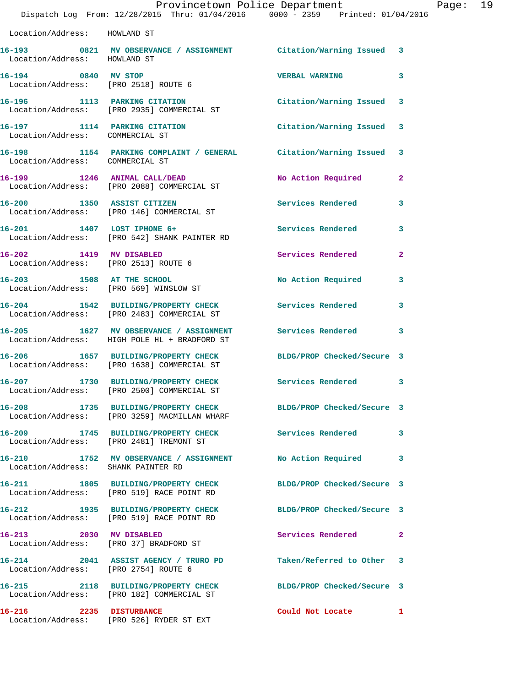|                                                                 | Dispatch Log From: 12/28/2015 Thru: 01/04/2016 0000 - 2359 Printed: 01/04/2016                                 | Provincetown Police Department |                | Page: 19 |  |
|-----------------------------------------------------------------|----------------------------------------------------------------------------------------------------------------|--------------------------------|----------------|----------|--|
| Location/Address: HOWLAND ST                                    |                                                                                                                |                                |                |          |  |
| Location/Address: HOWLAND ST                                    | 16-193 0821 MV OBSERVANCE / ASSIGNMENT Citation/Warning Issued 3                                               |                                |                |          |  |
| 16-194 0840 MV STOP<br>Location/Address: [PRO 2518] ROUTE 6     |                                                                                                                | <b>VERBAL WARNING</b>          | 3              |          |  |
|                                                                 | 16-196 1113 PARKING CITATION<br>Location/Address: [PRO 2935] COMMERCIAL ST                                     | Citation/Warning Issued 3      |                |          |  |
| Location/Address: COMMERCIAL ST                                 | 16-197 1114 PARKING CITATION Citation/Warning Issued 3                                                         |                                |                |          |  |
| Location/Address: COMMERCIAL ST                                 | 16-198 1154 PARKING COMPLAINT / GENERAL Citation/Warning Issued 3                                              |                                |                |          |  |
|                                                                 | 16-199 1246 ANIMAL CALL/DEAD<br>Location/Address: [PRO 2088] COMMERCIAL ST                                     | No Action Required 2           |                |          |  |
|                                                                 | 16-200 1350 ASSIST CITIZEN<br>Location/Address: [PRO 146] COMMERCIAL ST                                        | Services Rendered              | 3              |          |  |
|                                                                 | 16-201 1407 LOST IPHONE 6+<br>Location/Address: [PRO 542] SHANK PAINTER RD                                     | Services Rendered              | 3              |          |  |
| 16-202 1419 MV DISABLED<br>Location/Address: [PRO 2513] ROUTE 6 |                                                                                                                | Services Rendered              | $\overline{2}$ |          |  |
| Location/Address: [PRO 569] WINSLOW ST                          | 16-203 1508 AT THE SCHOOL                                                                                      | No Action Required 3           |                |          |  |
|                                                                 | 16-204 1542 BUILDING/PROPERTY CHECK Services Rendered<br>Location/Address: [PRO 2483] COMMERCIAL ST            |                                | 3              |          |  |
|                                                                 | 16-205 1627 MV OBSERVANCE / ASSIGNMENT Services Rendered 3<br>Location/Address: HIGH POLE HL + BRADFORD ST     |                                |                |          |  |
|                                                                 | 16-206 1657 BUILDING/PROPERTY CHECK BLDG/PROP Checked/Secure 3<br>Location/Address: [PRO 1638] COMMERCIAL ST   |                                |                |          |  |
| 16-207                                                          | 1730 BUILDING/PROPERTY CHECK<br>Location/Address: [PRO 2500] COMMERCIAL ST                                     | Services Rendered 3            |                |          |  |
|                                                                 | 16-208 1735 BUILDING/PROPERTY CHECK BLDG/PROP Checked/Secure 3<br>Location/Address: [PRO 3259] MACMILLAN WHARF |                                |                |          |  |
|                                                                 |                                                                                                                | Services Rendered 3            |                |          |  |
| Location/Address: SHANK PAINTER RD                              | 16-210 1752 MV OBSERVANCE / ASSIGNMENT No Action Required                                                      |                                | 3              |          |  |
|                                                                 | 16-211 1805 BUILDING/PROPERTY CHECK<br>Location/Address: [PRO 519] RACE POINT RD                               | BLDG/PROP Checked/Secure 3     |                |          |  |
|                                                                 | 16-212 1935 BUILDING/PROPERTY CHECK BLDG/PROP Checked/Secure 3<br>Location/Address: [PRO 519] RACE POINT RD    |                                |                |          |  |
| 16-213 2030 MV DISABLED                                         | Location/Address: [PRO 37] BRADFORD ST                                                                         | Services Rendered              | $\mathbf{2}$   |          |  |
| Location/Address: [PRO 2754] ROUTE 6                            | 16-214 2041 ASSIST AGENCY / TRURO PD Taken/Referred to Other 3                                                 |                                |                |          |  |
|                                                                 | 16-215 2118 BUILDING/PROPERTY CHECK BLDG/PROP Checked/Secure 3<br>Location/Address: [PRO 182] COMMERCIAL ST    |                                |                |          |  |
| 16-216 2235 DISTURBANCE                                         | Location/Address: [PRO 526] RYDER ST EXT                                                                       | Could Not Locate 1             |                |          |  |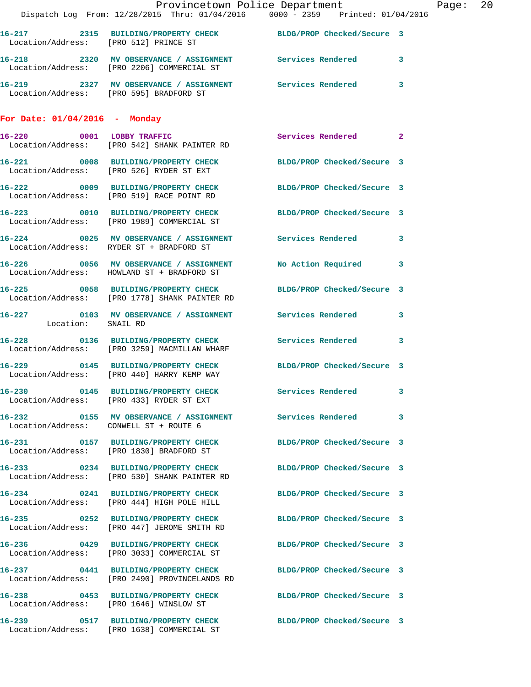| $\mathcal{L}(\mathcal{A})$             | Dispatch Log From: 12/28/2015 Thru: 01/04/2016 0000 - 2359 Printed: 01/04/2016                                  | Provincetown Police Department The Page: 20 |  |
|----------------------------------------|-----------------------------------------------------------------------------------------------------------------|---------------------------------------------|--|
|                                        | 16-217 2315 BUILDING/PROPERTY CHECK BLDG/PROP Checked/Secure 3<br>Location/Address: [PRO 512] PRINCE ST         |                                             |  |
|                                        | 16-218 2320 MV OBSERVANCE / ASSIGNMENT Services Rendered 3<br>Location/Address: [PRO 2206] COMMERCIAL ST        |                                             |  |
|                                        | 16-219 2327 MV OBSERVANCE / ASSIGNMENT Services Rendered 3<br>Location/Address: [PRO 595] BRADFORD ST           |                                             |  |
| For Date: 01/04/2016 - Monday          |                                                                                                                 |                                             |  |
|                                        | 16-220 0001 LOBBY TRAFFIC<br>Location/Address: [PRO 542] SHANK PAINTER RD                                       | Services Rendered 2                         |  |
|                                        | 16-221 0008 BUILDING/PROPERTY CHECK BLDG/PROP Checked/Secure 3<br>Location/Address: [PRO 526] RYDER ST EXT      |                                             |  |
|                                        | 16-222 0009 BUILDING/PROPERTY CHECK BLDG/PROP Checked/Secure 3<br>Location/Address: [PRO 519] RACE POINT RD     |                                             |  |
|                                        | 16-223 0010 BUILDING/PROPERTY CHECK BLDG/PROP Checked/Secure 3<br>Location/Address: [PRO 1989] COMMERCIAL ST    |                                             |  |
|                                        | 16-224 0025 MV OBSERVANCE / ASSIGNMENT Services Rendered 3<br>Location/Address: RYDER ST + BRADFORD ST          |                                             |  |
|                                        | 16-226 0056 MV OBSERVANCE / ASSIGNMENT No Action Required 3<br>Location/Address: HOWLAND ST + BRADFORD ST       |                                             |  |
|                                        | 16-225 0058 BUILDING/PROPERTY CHECK BLDG/PROP Checked/Secure 3<br>Location/Address: [PRO 1778] SHANK PAINTER RD |                                             |  |
| Location: SNAIL RD                     | 16-227 0103 MV OBSERVANCE / ASSIGNMENT Services Rendered 3                                                      |                                             |  |
|                                        | 16-228 0136 BUILDING/PROPERTY CHECK Services Rendered 3<br>Location/Address: [PRO 3259] MACMILLAN WHARF         |                                             |  |
|                                        | 16-229 0145 BUILDING/PROPERTY CHECK BLDG/PROP Checked/Secure 3<br>Location/Address: [PRO 440] HARRY KEMP WAY    |                                             |  |
|                                        | 16-230 0145 BUILDING/PROPERTY CHECK<br>Location/Address: [PRO 433] RYDER ST EXT                                 | Services Rendered 3                         |  |
| Location/Address: CONWELL ST + ROUTE 6 | 16-232 0155 MV OBSERVANCE / ASSIGNMENT Services Rendered 3                                                      |                                             |  |
|                                        | 16-231 0157 BUILDING/PROPERTY CHECK BLDG/PROP Checked/Secure 3<br>Location/Address: [PRO 1830] BRADFORD ST      |                                             |  |
|                                        | 16-233 0234 BUILDING/PROPERTY CHECK BLDG/PROP Checked/Secure 3<br>Location/Address: [PRO 530] SHANK PAINTER RD  |                                             |  |
|                                        | 16-234 0241 BUILDING/PROPERTY CHECK BLDG/PROP Checked/Secure 3<br>Location/Address: [PRO 444] HIGH POLE HILL    |                                             |  |
|                                        | 16-235 0252 BUILDING/PROPERTY CHECK BLDG/PROP Checked/Secure 3<br>Location/Address: [PRO 447] JEROME SMITH RD   |                                             |  |
|                                        | 16-236 0429 BUILDING/PROPERTY CHECK<br>Location/Address: [PRO 3033] COMMERCIAL ST                               | BLDG/PROP Checked/Secure 3                  |  |
|                                        | 16-237 0441 BUILDING/PROPERTY CHECK<br>Location/Address: [PRO 2490] PROVINCELANDS RD                            | BLDG/PROP Checked/Secure 3                  |  |
|                                        | 16-238 0453 BUILDING/PROPERTY CHECK<br>Location/Address: [PRO 1646] WINSLOW ST                                  | BLDG/PROP Checked/Secure 3                  |  |
|                                        | 16-239 0517 BUILDING/PROPERTY CHECK BLDG/PROP Checked/Secure 3<br>Location/Address: [PRO 1638] COMMERCIAL ST    |                                             |  |